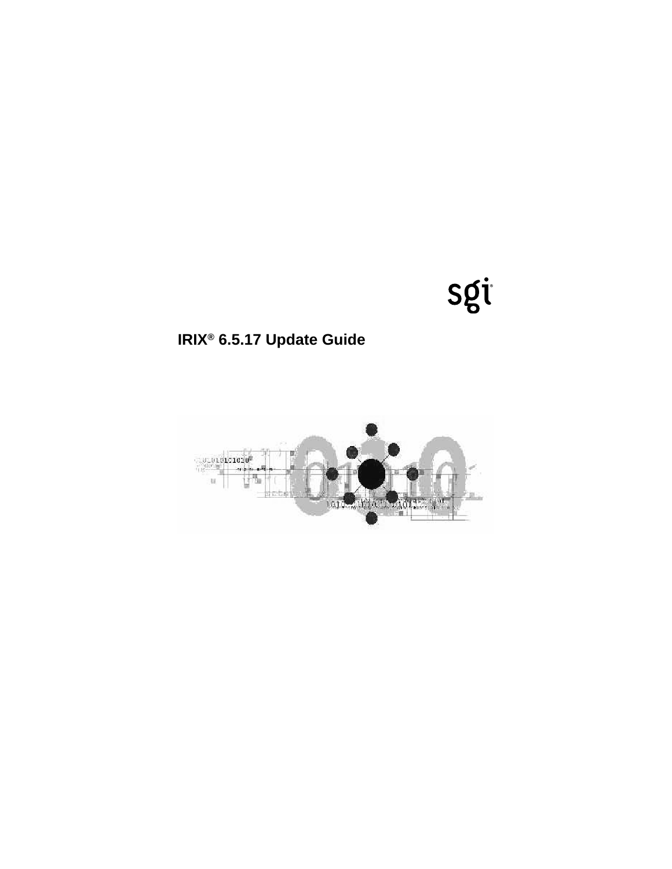# sgi

# **IRIX® 6.5.17 Update Guide**

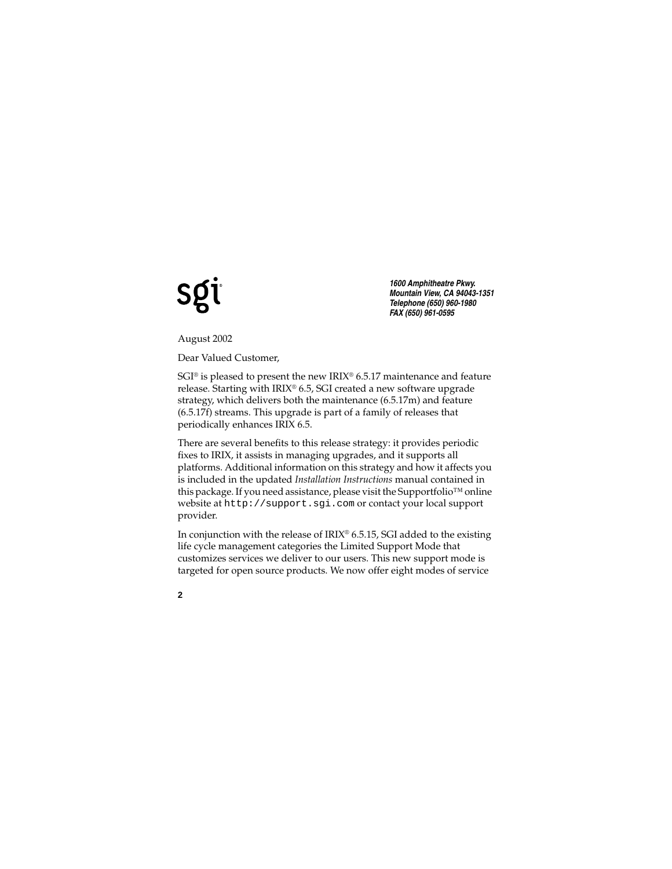# **SQ**

*1600 Amphitheatre Pkwy. Mountain View, CA 94043-1351 Telephone (650) 960-1980 FAX (650) 961-0595*

August 2002

Dear Valued Customer,

 $SGI^{\circ}$  is pleased to present the new IRIX $^{\circ}$  6.5.17 maintenance and feature release. Starting with IRIX® 6.5, SGI created a new software upgrade strategy, which delivers both the maintenance (6.5.17m) and feature (6.5.17f) streams. This upgrade is part of a family of releases that periodically enhances IRIX 6.5.

There are several benefits to this release strategy: it provides periodic fixes to IRIX, it assists in managing upgrades, and it supports all platforms. Additional information on this strategy and how it affects you is included in the updated *Installation Instructions* manual contained in this package. If you need assistance, please visit the Supportfolio™ online website at http://support.sgi.com or contact your local support provider.

In conjunction with the release of  $IRIX^{\circledcirc}$  6.5.15, SGI added to the existing life cycle management categories the Limited Support Mode that customizes services we deliver to our users. This new support mode is targeted for open source products. We now offer eight modes of service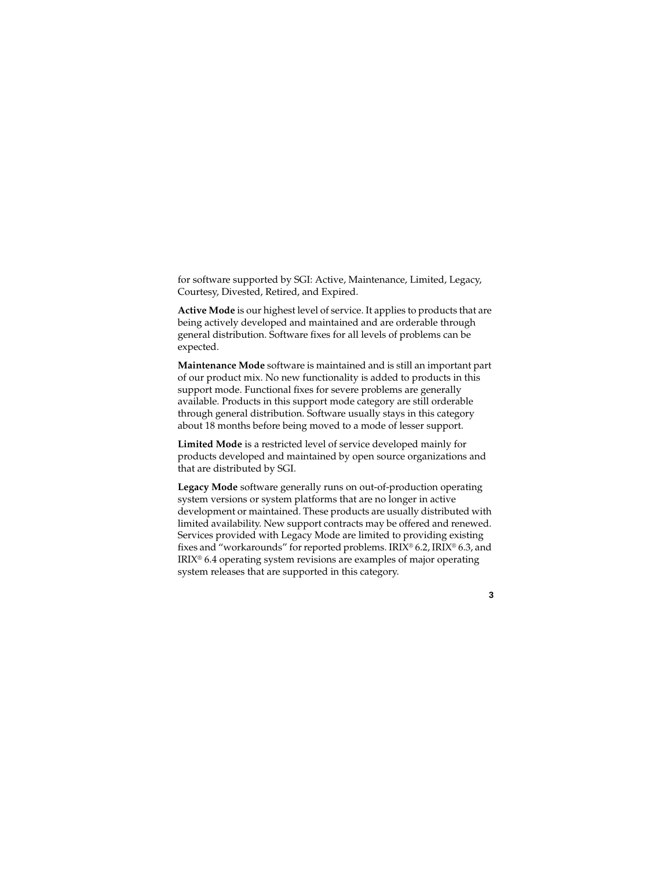for software supported by SGI: Active, Maintenance, Limited, Legacy, Courtesy, Divested, Retired, and Expired.

**Active Mode** is our highest level of service. It applies to products that are being actively developed and maintained and are orderable through general distribution. Software fixes for all levels of problems can be expected.

**Maintenance Mode** software is maintained and is still an important part of our product mix. No new functionality is added to products in this support mode. Functional fixes for severe problems are generally available. Products in this support mode category are still orderable through general distribution. Software usually stays in this category about 18 months before being moved to a mode of lesser support.

**Limited Mode** is a restricted level of service developed mainly for products developed and maintained by open source organizations and that are distributed by SGI.

**Legacy Mode** software generally runs on out-of-production operating system versions or system platforms that are no longer in active development or maintained. These products are usually distributed with limited availability. New support contracts may be offered and renewed. Services provided with Legacy Mode are limited to providing existing fixes and "workarounds" for reported problems. IRIX® 6.2, IRIX® 6.3, and IRIX® 6.4 operating system revisions are examples of major operating system releases that are supported in this category.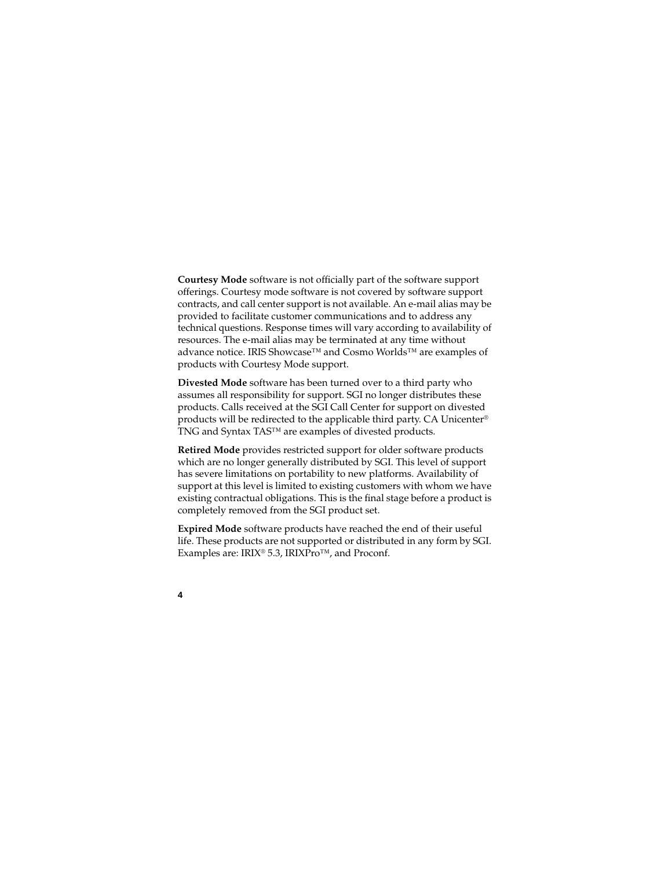**Courtesy Mode** software is not officially part of the software support offerings. Courtesy mode software is not covered by software support contracts, and call center support is not available. An e-mail alias may be provided to facilitate customer communications and to address any technical questions. Response times will vary according to availability of resources. The e-mail alias may be terminated at any time without advance notice. IRIS Showcase™ and Cosmo Worlds™ are examples of products with Courtesy Mode support.

**Divested Mode** software has been turned over to a third party who assumes all responsibility for support. SGI no longer distributes these products. Calls received at the SGI Call Center for support on divested products will be redirected to the applicable third party. CA Unicenter® TNG and Syntax TAS™ are examples of divested products.

**Retired Mode** provides restricted support for older software products which are no longer generally distributed by SGI. This level of support has severe limitations on portability to new platforms. Availability of support at this level is limited to existing customers with whom we have existing contractual obligations. This is the final stage before a product is completely removed from the SGI product set.

**Expired Mode** software products have reached the end of their useful life. These products are not supported or distributed in any form by SGI. Examples are: IRIX® 5.3, IRIXPro™, and Proconf.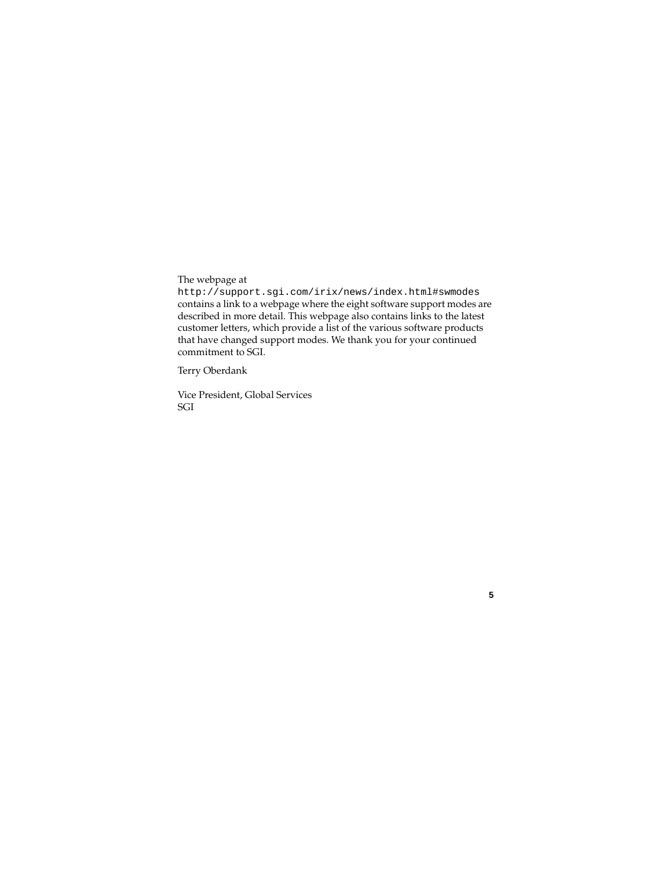The webpage at

http://support.sgi.com/irix/news/index.html#swmodes contains a link to a webpage where the eight software support modes are described in more detail. This webpage also contains links to the latest customer letters, which provide a list of the various software products that have changed support modes. We thank you for your continued commitment to SGI.

Terry Oberdank

Vice President, Global Services SGI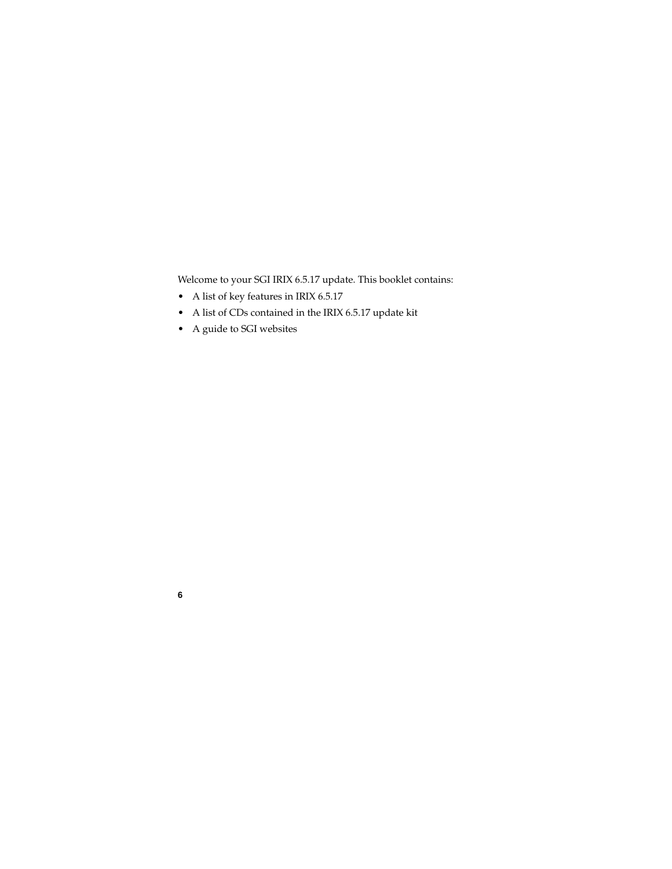Welcome to your SGI IRIX 6.5.17 update. This booklet contains:

- A list of key features in IRIX 6.5.17
- A list of CDs contained in the IRIX 6.5.17 update kit
- A guide to SGI websites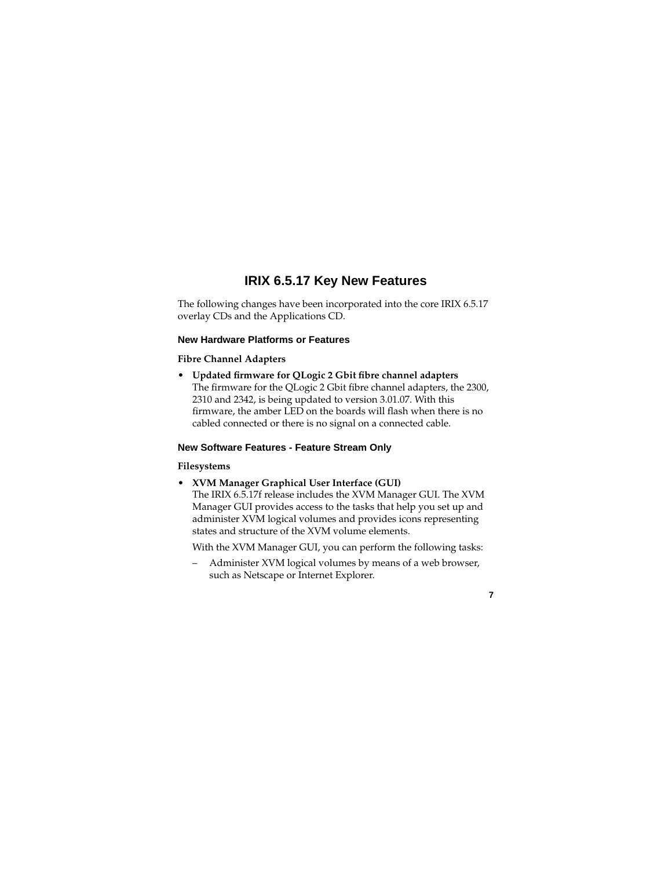# **IRIX 6.5.17 Key New Features**

The following changes have been incorporated into the core IRIX 6.5.17 overlay CDs and the Applications CD.

#### **New Hardware Platforms or Features**

#### **Fibre Channel Adapters**

• **Updated firmware for QLogic 2 Gbit fibre channel adapters** The firmware for the QLogic 2 Gbit fibre channel adapters, the 2300, 2310 and 2342, is being updated to version 3.01.07. With this firmware, the amber LED on the boards will flash when there is no cabled connected or there is no signal on a connected cable.

#### **New Software Features - Feature Stream Only**

#### **Filesystems**

• **XVM Manager Graphical User Interface (GUI)** The IRIX 6.5.17f release includes the XVM Manager GUI. The XVM Manager GUI provides access to the tasks that help you set up and administer XVM logical volumes and provides icons representing states and structure of the XVM volume elements.

With the XVM Manager GUI, you can perform the following tasks:

– Administer XVM logical volumes by means of a web browser, such as Netscape or Internet Explorer.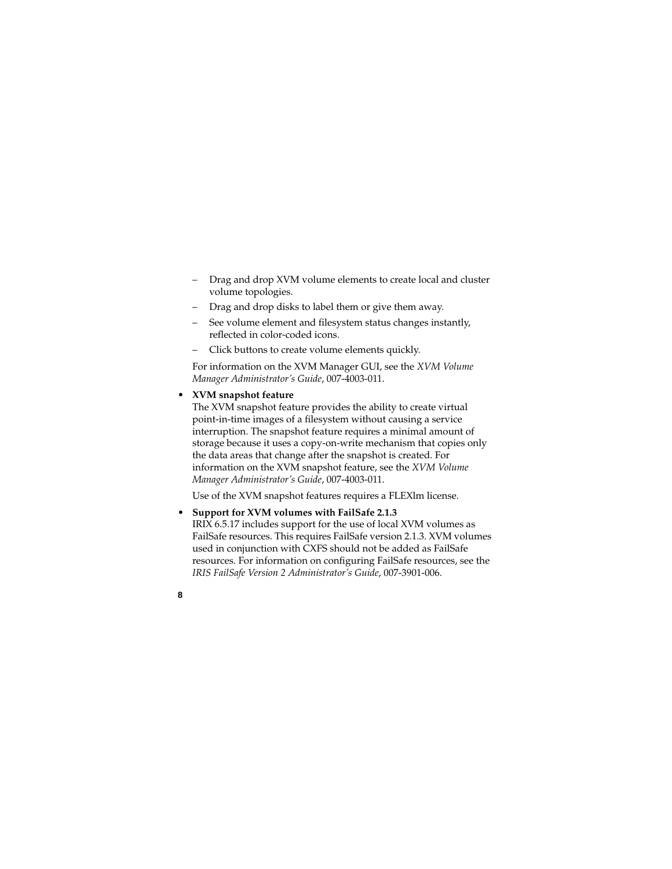- Drag and drop XVM volume elements to create local and cluster volume topologies.
- Drag and drop disks to label them or give them away.
- See volume element and filesystem status changes instantly, reflected in color-coded icons.
- Click buttons to create volume elements quickly.

For information on the XVM Manager GUI, see the *XVM Volume Manager Administrator's Guide*, 007-4003-011.

## • **XVM snapshot feature**

The XVM snapshot feature provides the ability to create virtual point-in-time images of a filesystem without causing a service interruption. The snapshot feature requires a minimal amount of storage because it uses a copy-on-write mechanism that copies only the data areas that change after the snapshot is created. For information on the XVM snapshot feature, see the *XVM Volume Manager Administrator's Guide*, 007-4003-011.

Use of the XVM snapshot features requires a FLEXlm license.

• **Support for XVM volumes with FailSafe 2.1.3** IRIX 6.5.17 includes support for the use of local XVM volumes as FailSafe resources. This requires FailSafe version 2.1.3. XVM volumes used in conjunction with CXFS should not be added as FailSafe resources. For information on configuring FailSafe resources, see the *IRIS FailSafe Version 2 Administrator's Guide*, 007-3901-006.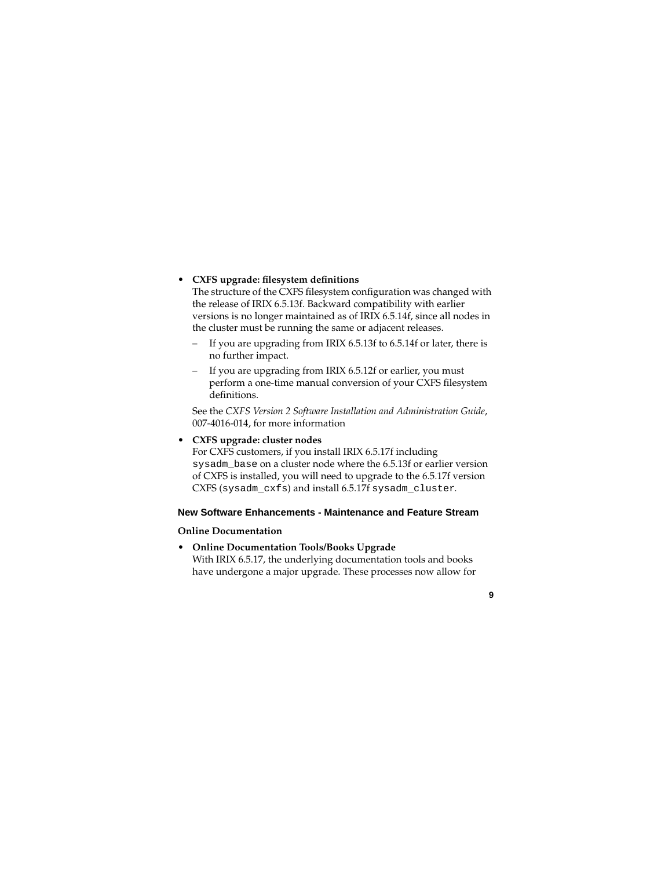#### • **CXFS upgrade: filesystem definitions**

The structure of the CXFS filesystem configuration was changed with the release of IRIX 6.5.13f. Backward compatibility with earlier versions is no longer maintained as of IRIX 6.5.14f, since all nodes in the cluster must be running the same or adjacent releases.

- If you are upgrading from IRIX 6.5.13f to 6.5.14f or later, there is no further impact.
- If you are upgrading from IRIX 6.5.12f or earlier, you must perform a one-time manual conversion of your CXFS filesystem definitions.

See the *CXFS Version 2 Software Installation and Administration Guide*, 007-4016-014, for more information

# • **CXFS upgrade: cluster nodes**

For CXFS customers, if you install IRIX 6.5.17f including sysadm base on a cluster node where the 6.5.13f or earlier version of CXFS is installed, you will need to upgrade to the 6.5.17f version CXFS (sysadm\_cxfs) and install 6.5.17f sysadm\_cluster.

### **New Software Enhancements - Maintenance and Feature Stream**

### **Online Documentation**

• **Online Documentation Tools/Books Upgrade** With IRIX 6.5.17, the underlying documentation tools and books have undergone a major upgrade. These processes now allow for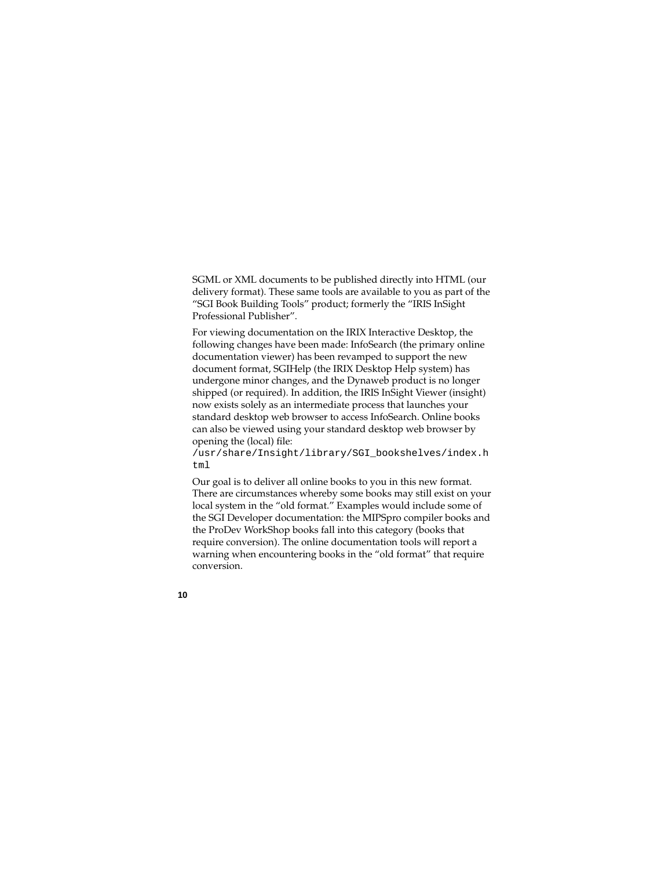SGML or XML documents to be published directly into HTML (our delivery format). These same tools are available to you as part of the "SGI Book Building Tools" product; formerly the "IRIS InSight Professional Publisher".

For viewing documentation on the IRIX Interactive Desktop, the following changes have been made: InfoSearch (the primary online documentation viewer) has been revamped to support the new document format, SGIHelp (the IRIX Desktop Help system) has undergone minor changes, and the Dynaweb product is no longer shipped (or required). In addition, the IRIS InSight Viewer (insight) now exists solely as an intermediate process that launches your standard desktop web browser to access InfoSearch. Online books can also be viewed using your standard desktop web browser by opening the (local) file:

/usr/share/Insight/library/SGI\_bookshelves/index.h tml

Our goal is to deliver all online books to you in this new format. There are circumstances whereby some books may still exist on your local system in the "old format." Examples would include some of the SGI Developer documentation: the MIPSpro compiler books and the ProDev WorkShop books fall into this category (books that require conversion). The online documentation tools will report a warning when encountering books in the "old format" that require conversion.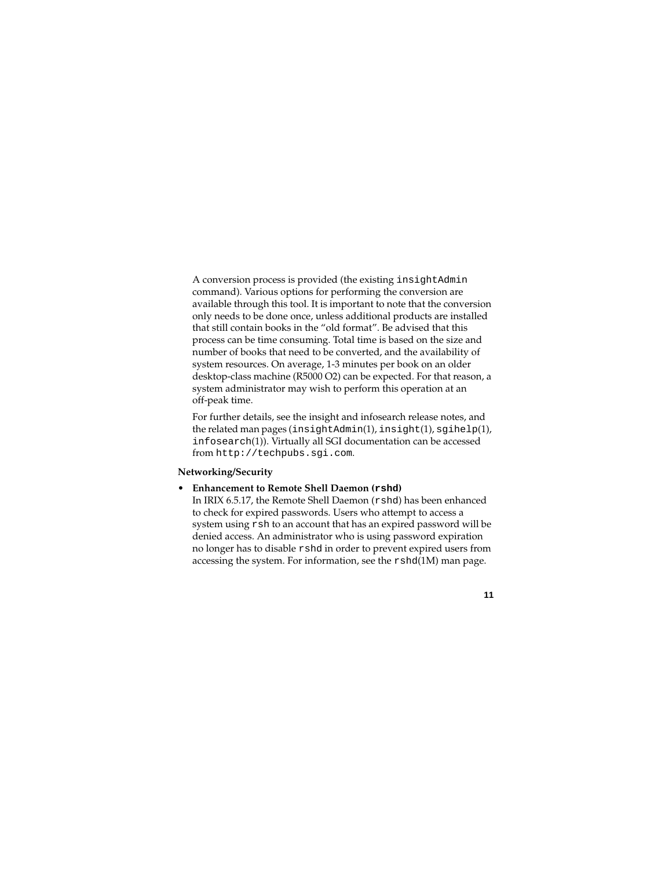A conversion process is provided (the existing insightAdmin command). Various options for performing the conversion are available through this tool. It is important to note that the conversion only needs to be done once, unless additional products are installed that still contain books in the "old format". Be advised that this process can be time consuming. Total time is based on the size and number of books that need to be converted, and the availability of system resources. On average, 1-3 minutes per book on an older desktop-class machine (R5000 O2) can be expected. For that reason, a system administrator may wish to perform this operation at an off-peak time.

For further details, see the insight and infosearch release notes, and the related man pages (insightAdmin(1), insight(1), sgihelp(1), infosearch(1)). Virtually all SGI documentation can be accessed from http://techpubs.sgi.com.

# **Networking/Security**

• **Enhancement to Remote Shell Daemon (rshd)**

In IRIX 6.5.17, the Remote Shell Daemon (rshd) has been enhanced to check for expired passwords. Users who attempt to access a system using rsh to an account that has an expired password will be denied access. An administrator who is using password expiration no longer has to disable rshd in order to prevent expired users from accessing the system. For information, see the rshd(1M) man page.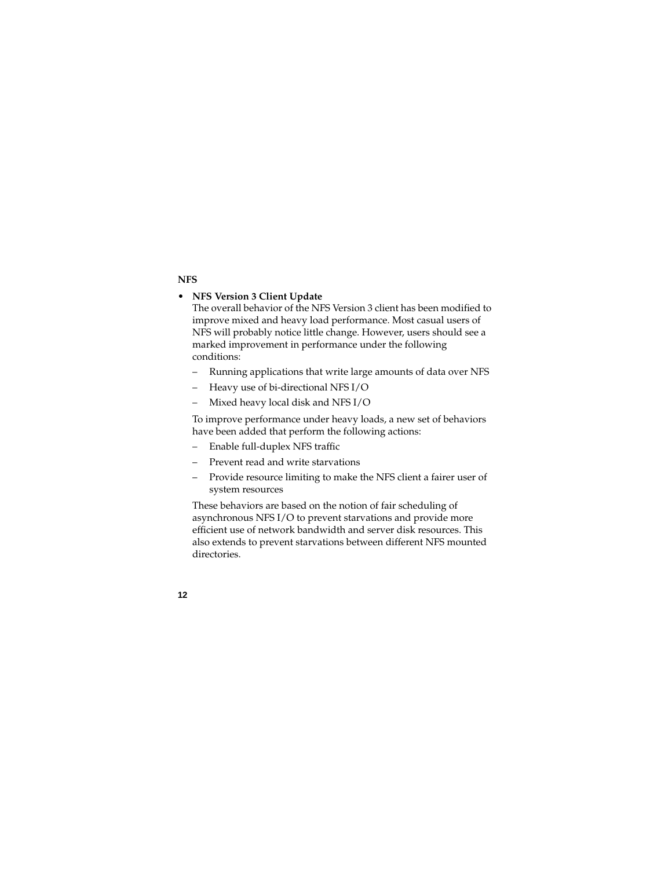# **NFS**

# • **NFS Version 3 Client Update**

The overall behavior of the NFS Version 3 client has been modified to improve mixed and heavy load performance. Most casual users of NFS will probably notice little change. However, users should see a marked improvement in performance under the following conditions:

- Running applications that write large amounts of data over NFS
- Heavy use of bi-directional NFS I/O
- Mixed heavy local disk and NFS I/O

To improve performance under heavy loads, a new set of behaviors have been added that perform the following actions:

- Enable full-duplex NFS traffic
- Prevent read and write starvations
- Provide resource limiting to make the NFS client a fairer user of system resources

These behaviors are based on the notion of fair scheduling of asynchronous NFS I/O to prevent starvations and provide more efficient use of network bandwidth and server disk resources. This also extends to prevent starvations between different NFS mounted directories.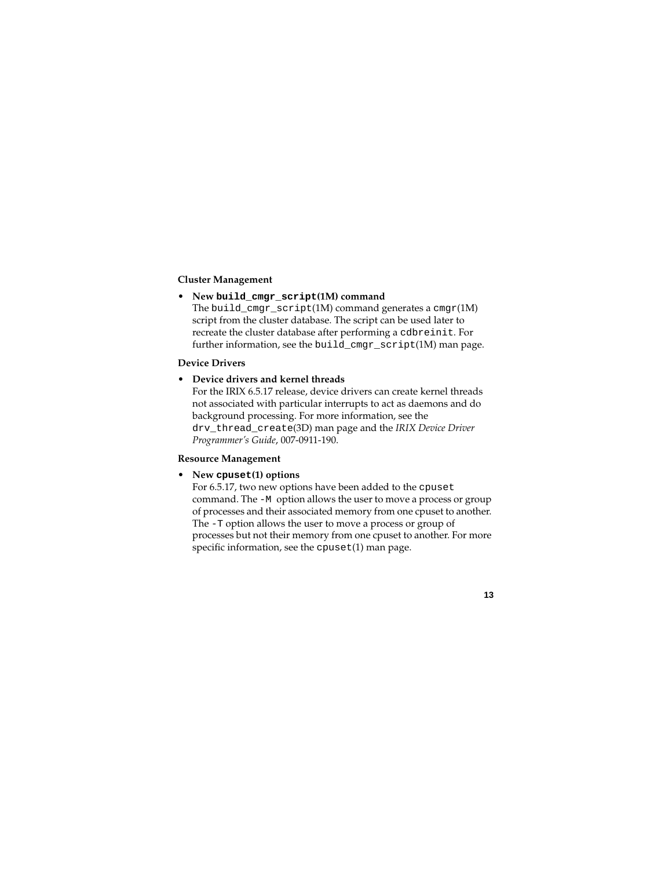#### **Cluster Management**

#### • **New build\_cmgr\_script(1M) command**

The build\_cmgr\_script(1M) command generates a cmgr(1M) script from the cluster database. The script can be used later to recreate the cluster database after performing a cdbreinit. For further information, see the build\_cmgr\_script(1M) man page.

# **Device Drivers**

# • **Device drivers and kernel threads**

For the IRIX 6.5.17 release, device drivers can create kernel threads not associated with particular interrupts to act as daemons and do background processing. For more information, see the drv\_thread\_create(3D) man page and the *IRIX Device Driver Programmer's Guide*, 007-0911-190.

### **Resource Management**

#### • **New cpuset(1) options**

For 6.5.17, two new options have been added to the cpuset command. The -M option allows the user to move a process or group of processes and their associated memory from one cpuset to another. The -T option allows the user to move a process or group of processes but not their memory from one cpuset to another. For more specific information, see the cpuset(1) man page.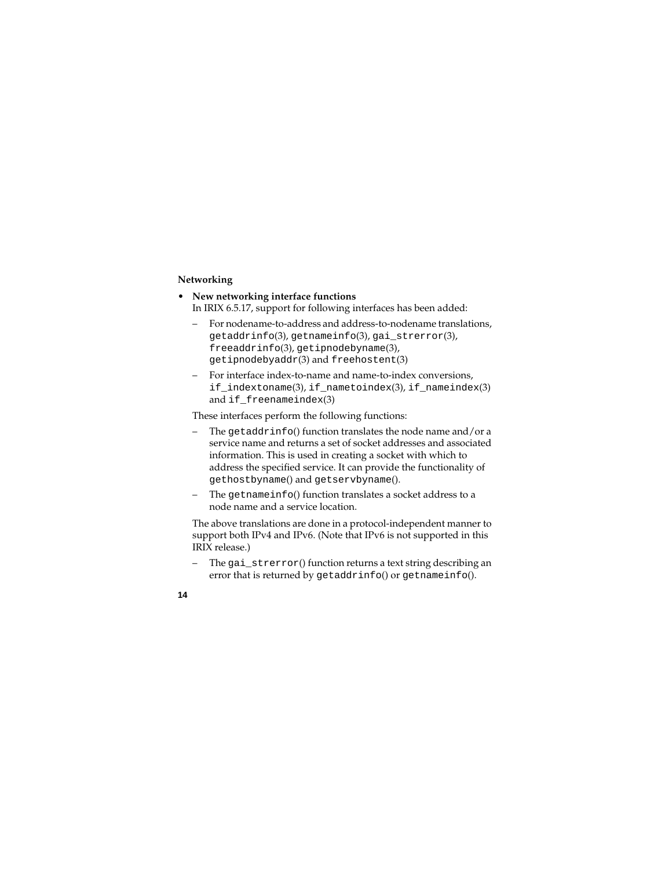# **Networking**

- **New networking interface functions** In IRIX 6.5.17, support for following interfaces has been added:
	- For nodename-to-address and address-to-nodename translations, getaddrinfo(3), getnameinfo(3), gai\_strerror(3), freeaddrinfo(3), getipnodebyname(3), getipnodebyaddr(3) and freehostent(3)
	- For interface index-to-name and name-to-index conversions, if\_indextoname(3), if\_nametoindex(3), if\_nameindex(3) and if freenameindex(3)

These interfaces perform the following functions:

- The getaddrinfo() function translates the node name and/or a service name and returns a set of socket addresses and associated information. This is used in creating a socket with which to address the specified service. It can provide the functionality of gethostbyname() and getservbyname().
- The getnameinfo() function translates a socket address to a node name and a service location.

The above translations are done in a protocol-independent manner to support both IPv4 and IPv6. (Note that IPv6 is not supported in this IRIX release.)

– The gai\_strerror() function returns a text string describing an error that is returned by getaddrinfo() or getnameinfo().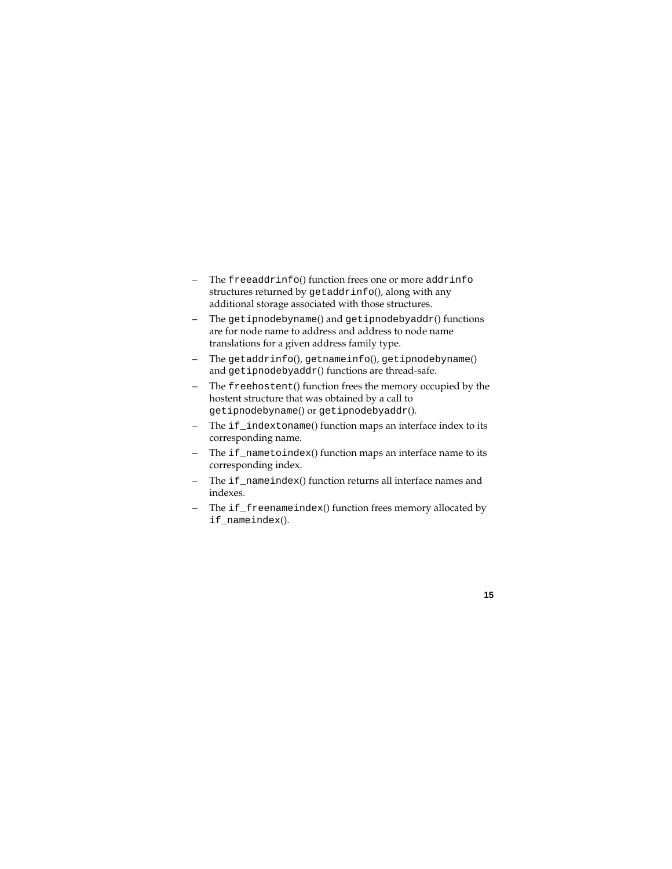- The freeaddrinfo() function frees one or more addrinfo structures returned by getaddrinfo(), along with any additional storage associated with those structures.
- The getipnodebyname() and getipnodebyaddr() functions are for node name to address and address to node name translations for a given address family type.
- The getaddrinfo(), getnameinfo(), getipnodebyname() and getipnodebyaddr() functions are thread-safe.
- The freehostent() function frees the memory occupied by the hostent structure that was obtained by a call to getipnodebyname() or getipnodebyaddr().
- The if indextoname() function maps an interface index to its corresponding name.
- The if\_nametoindex() function maps an interface name to its corresponding index.
- The if\_nameindex() function returns all interface names and indexes.
- The if\_freenameindex() function frees memory allocated by if\_nameindex().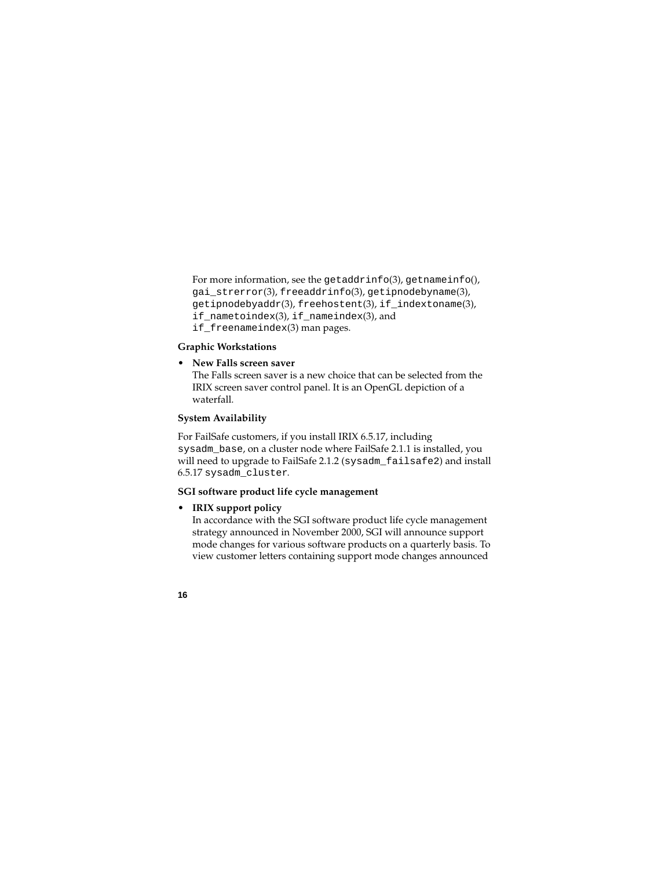For more information, see the getaddrinfo(3), getnameinfo(), gai\_strerror(3), freeaddrinfo(3), getipnodebyname(3), getipnodebyaddr(3), freehostent(3), if\_indextoname(3), if\_nametoindex(3), if\_nameindex(3), and if\_freenameindex(3) man pages.

## **Graphic Workstations**

#### • **New Falls screen saver**

The Falls screen saver is a new choice that can be selected from the IRIX screen saver control panel. It is an OpenGL depiction of a waterfall.

#### **System Availability**

For FailSafe customers, if you install IRIX 6.5.17, including sysadm\_base, on a cluster node where FailSafe 2.1.1 is installed, you will need to upgrade to FailSafe 2.1.2 (sysadm\_failsafe2) and install 6.5.17 sysadm\_cluster.

#### **SGI software product life cycle management**

### • **IRIX support policy**

In accordance with the SGI software product life cycle management strategy announced in November 2000, SGI will announce support mode changes for various software products on a quarterly basis. To view customer letters containing support mode changes announced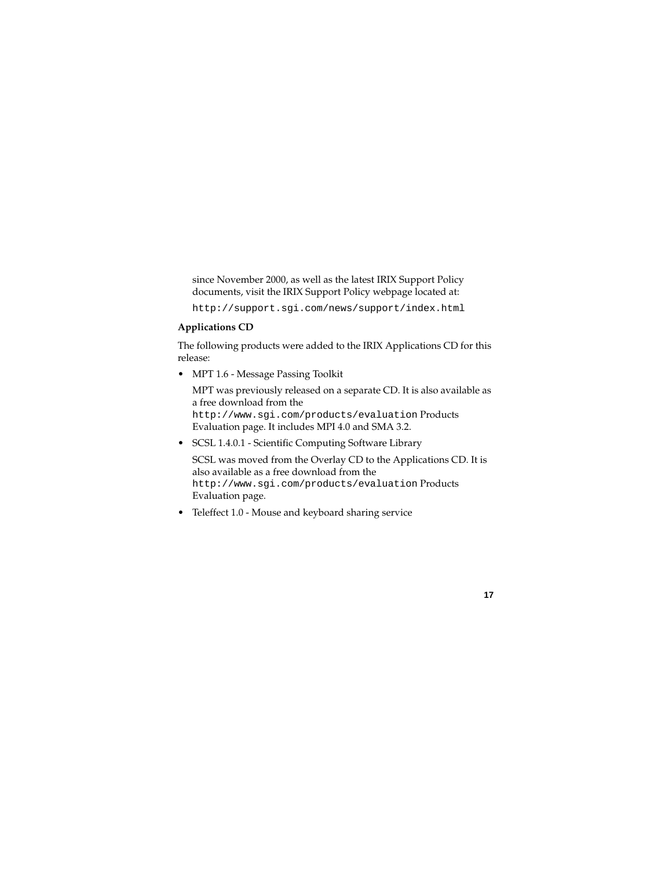since November 2000, as well as the latest IRIX Support Policy documents, visit the IRIX Support Policy webpage located at:

http://support.sgi.com/news/support/index.html

# **Applications CD**

The following products were added to the IRIX Applications CD for this release:

• MPT 1.6 - Message Passing Toolkit

MPT was previously released on a separate CD. It is also available as a free download from the http://www.sgi.com/products/evaluation Products Evaluation page. It includes MPI 4.0 and SMA 3.2.

• SCSL 1.4.0.1 - Scientific Computing Software Library

SCSL was moved from the Overlay CD to the Applications CD. It is also available as a free download from the http://www.sgi.com/products/evaluation Products Evaluation page.

• Teleffect 1.0 - Mouse and keyboard sharing service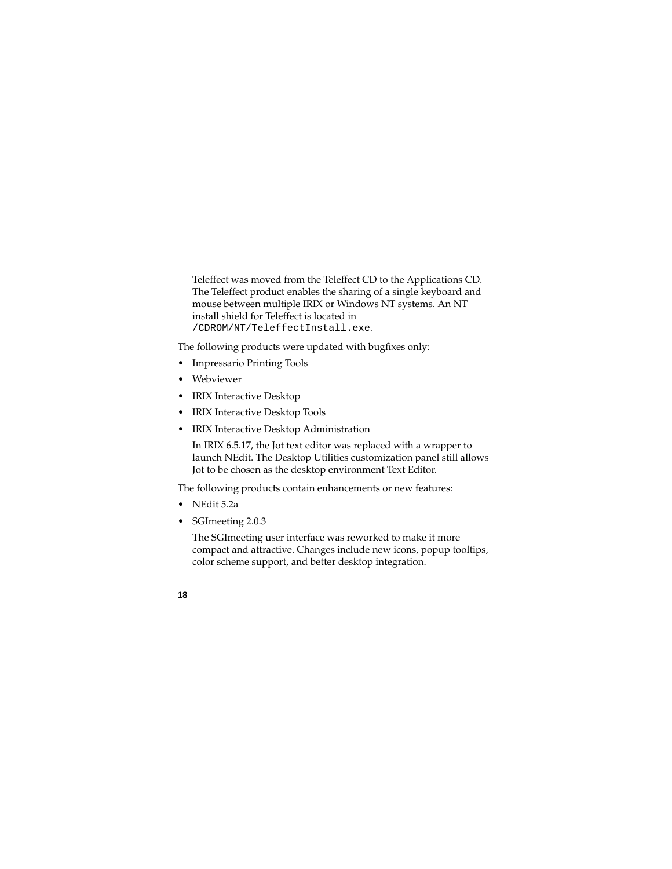Teleffect was moved from the Teleffect CD to the Applications CD. The Teleffect product enables the sharing of a single keyboard and mouse between multiple IRIX or Windows NT systems. An NT install shield for Teleffect is located in /CDROM/NT/TeleffectInstall.exe.

The following products were updated with bugfixes only:

- Impressario Printing Tools
- Webviewer
- IRIX Interactive Desktop
- IRIX Interactive Desktop Tools
- IRIX Interactive Desktop Administration

In IRIX 6.5.17, the Jot text editor was replaced with a wrapper to launch NEdit. The Desktop Utilities customization panel still allows Jot to be chosen as the desktop environment Text Editor.

The following products contain enhancements or new features:

- $\bullet$  NEdit 5.2a
- SGImeeting 2.0.3

The SGImeeting user interface was reworked to make it more compact and attractive. Changes include new icons, popup tooltips, color scheme support, and better desktop integration.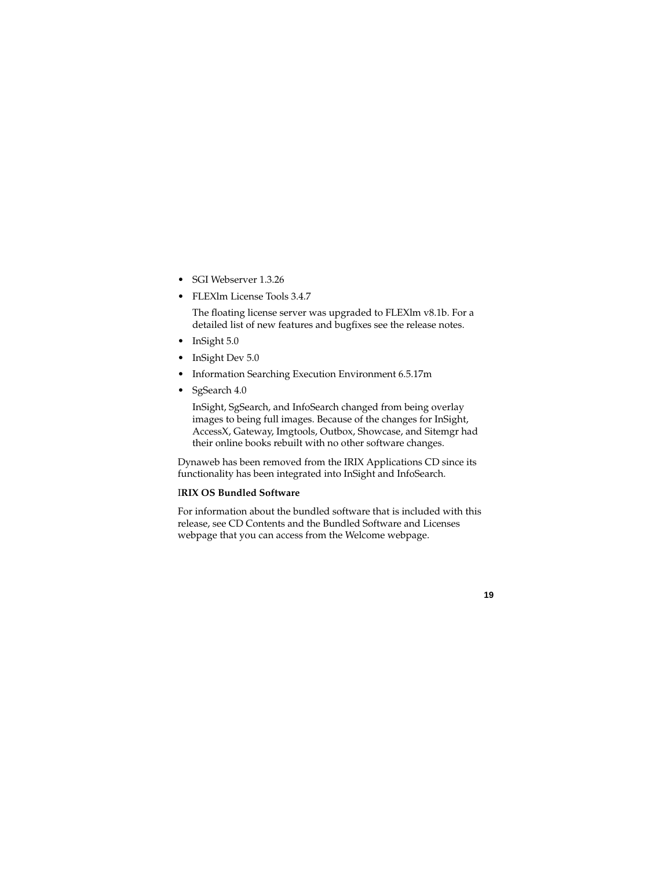- SGI Webserver 1.3.26
- FLEX1m License Tools 3.4.7

The floating license server was upgraded to FLEXlm v8.1b. For a detailed list of new features and bugfixes see the release notes.

- InSight 5.0
- InSight Dev 5.0
- Information Searching Execution Environment 6.5.17m
- SgSearch 4.0

InSight, SgSearch, and InfoSearch changed from being overlay images to being full images. Because of the changes for InSight, AccessX, Gateway, Imgtools, Outbox, Showcase, and Sitemgr had their online books rebuilt with no other software changes.

Dynaweb has been removed from the IRIX Applications CD since its functionality has been integrated into InSight and InfoSearch.

#### I**RIX OS Bundled Software**

For information about the bundled software that is included with this release, see CD Contents and the Bundled Software and Licenses webpage that you can access from the Welcome webpage.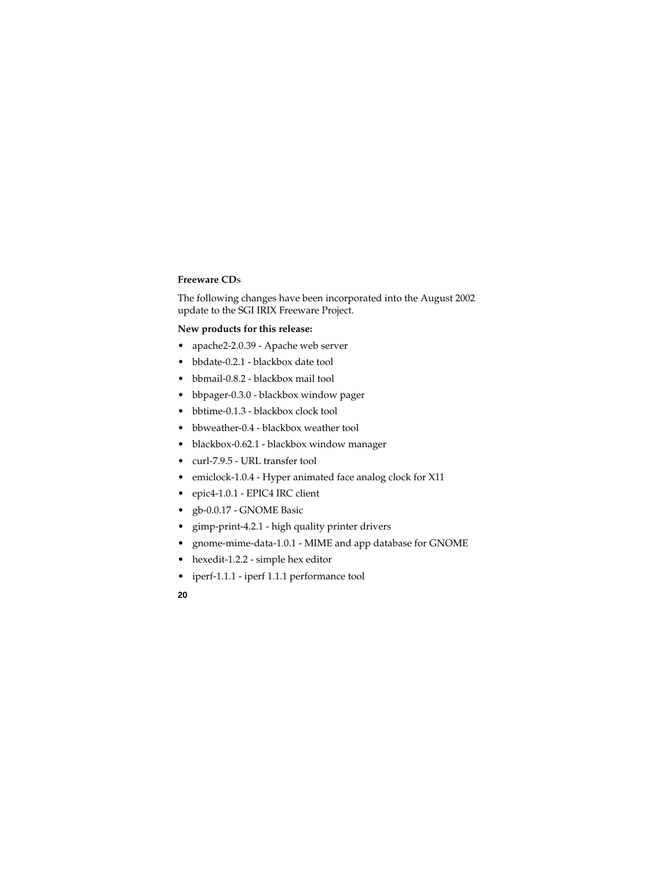#### **Freeware CD**s

The following changes have been incorporated into the August 2002 update to the SGI IRIX Freeware Project.

#### **New products for this release:**

- apache2-2.0.39 Apache web server
- bbdate-0.2.1 blackbox date tool
- bbmail-0.8.2 blackbox mail tool
- bbpager-0.3.0 blackbox window pager
- bbtime-0.1.3 blackbox clock tool
- bbweather-0.4 blackbox weather tool
- blackbox-0.62.1 blackbox window manager
- curl-7.9.5 URL transfer tool
- emiclock-1.0.4 Hyper animated face analog clock for X11
- epic4-1.0.1 EPIC4 IRC client
- gb-0.0.17 GNOME Basic
- gimp-print-4.2.1 high quality printer drivers
- gnome-mime-data-1.0.1 MIME and app database for GNOME
- hexedit-1.2.2 simple hex editor
- iperf-1.1.1 iperf 1.1.1 performance tool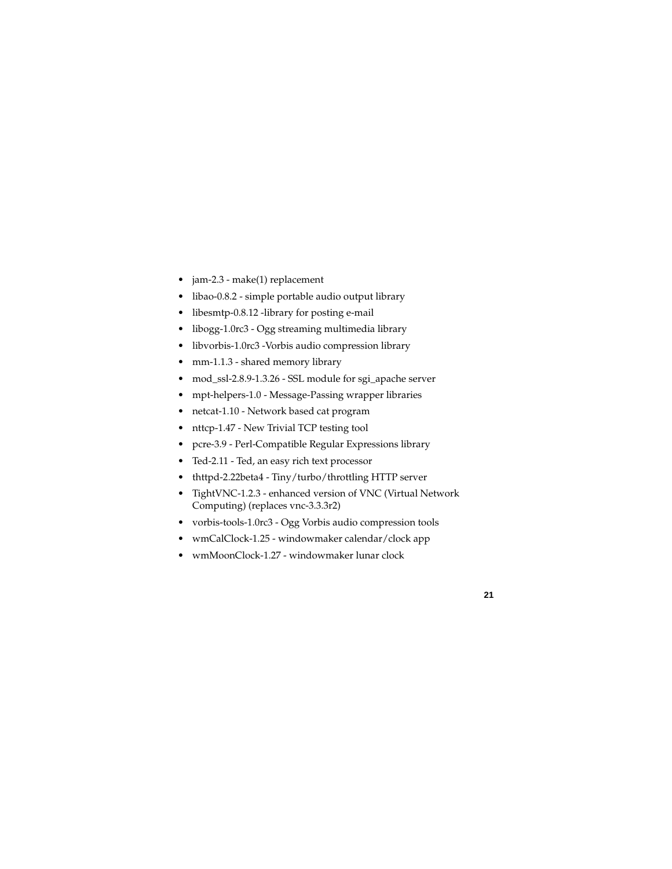- jam-2.3 make(1) replacement
- libao-0.8.2 simple portable audio output library
- libesmtp-0.8.12 -library for posting e-mail
- libogg-1.0rc3 Ogg streaming multimedia library
- libvorbis-1.0rc3 -Vorbis audio compression library
- mm-1.1.3 shared memory library
- mod\_ssl-2.8.9-1.3.26 SSL module for sgi\_apache server
- mpt-helpers-1.0 Message-Passing wrapper libraries
- netcat-1.10 Network based cat program
- nttcp-1.47 New Trivial TCP testing tool
- pcre-3.9 Perl-Compatible Regular Expressions library
- Ted-2.11 Ted, an easy rich text processor
- thttpd-2.22beta4 Tiny/turbo/throttling HTTP server
- TightVNC-1.2.3 enhanced version of VNC (Virtual Network Computing) (replaces vnc-3.3.3r2)
- vorbis-tools-1.0rc3 Ogg Vorbis audio compression tools
- wmCalClock-1.25 windowmaker calendar/clock app
- wmMoonClock-1.27 windowmaker lunar clock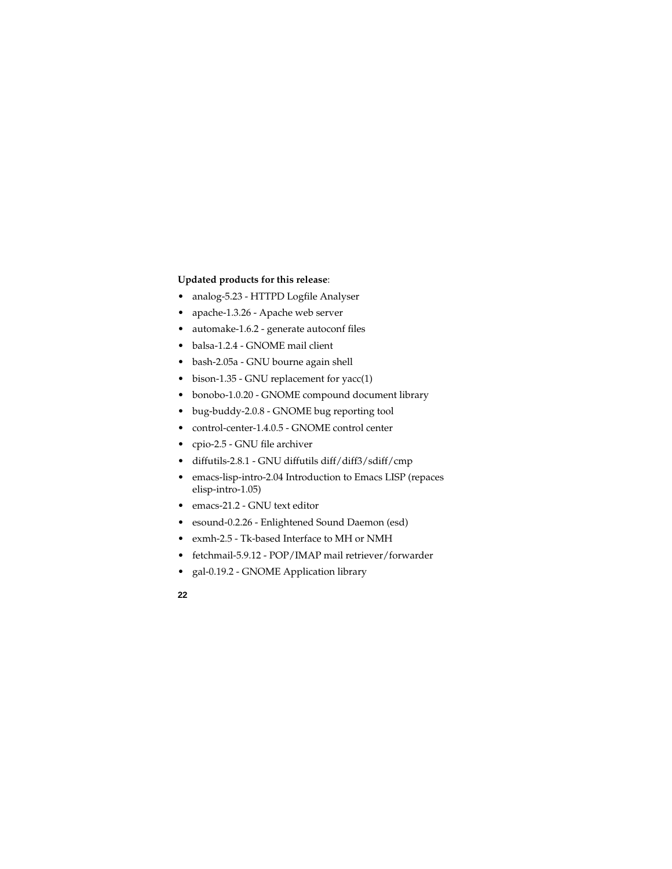### **Updated products for this release**:

- analog-5.23 HTTPD Logfile Analyser
- apache-1.3.26 Apache web server
- automake-1.6.2 generate autoconf files
- balsa-1.2.4 GNOME mail client
- bash-2.05a GNU bourne again shell
- bison-1.35 GNU replacement for yacc(1)
- bonobo-1.0.20 GNOME compound document library
- bug-buddy-2.0.8 GNOME bug reporting tool
- control-center-1.4.0.5 GNOME control center
- cpio-2.5 GNU file archiver
- diffutils-2.8.1 GNU diffutils diff/diff3/sdiff/cmp
- emacs-lisp-intro-2.04 Introduction to Emacs LISP (repaces elisp-intro-1.05)
- emacs-21.2 GNU text editor
- esound-0.2.26 Enlightened Sound Daemon (esd)
- exmh-2.5 Tk-based Interface to MH or NMH
- fetchmail-5.9.12 POP/IMAP mail retriever/forwarder
- gal-0.19.2 GNOME Application library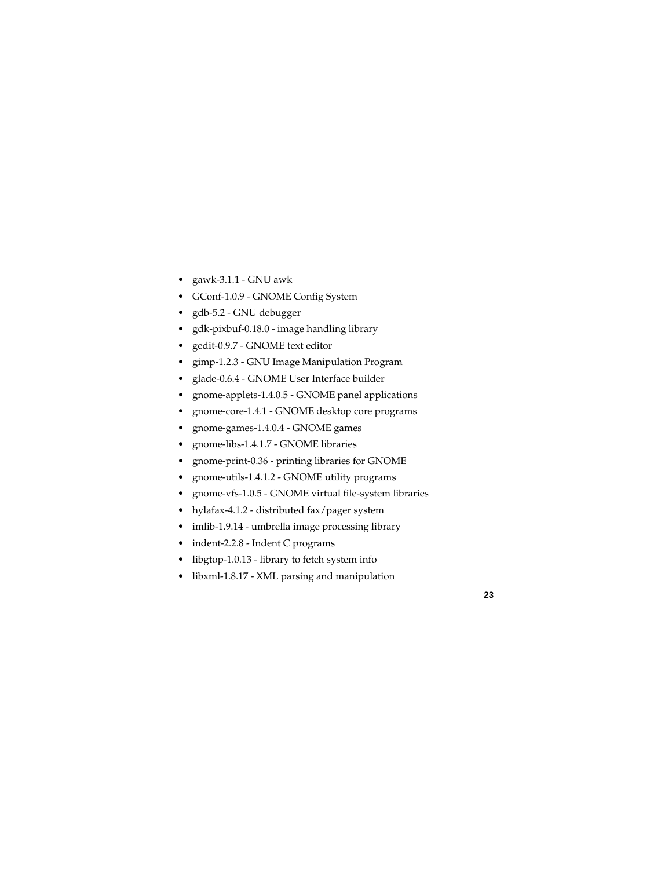- gawk-3.1.1 GNU awk
- GConf-1.0.9 GNOME Config System
- gdb-5.2 GNU debugger
- gdk-pixbuf-0.18.0 image handling library
- gedit-0.9.7 GNOME text editor
- gimp-1.2.3 GNU Image Manipulation Program
- glade-0.6.4 GNOME User Interface builder
- gnome-applets-1.4.0.5 GNOME panel applications
- gnome-core-1.4.1 GNOME desktop core programs
- gnome-games-1.4.0.4 GNOME games
- gnome-libs-1.4.1.7 GNOME libraries
- gnome-print-0.36 printing libraries for GNOME
- gnome-utils-1.4.1.2 GNOME utility programs
- gnome-vfs-1.0.5 GNOME virtual file-system libraries
- hylafax-4.1.2 distributed fax/pager system
- imlib-1.9.14 umbrella image processing library
- indent-2.2.8 Indent C programs
- libgtop-1.0.13 library to fetch system info
- libxml-1.8.17 XML parsing and manipulation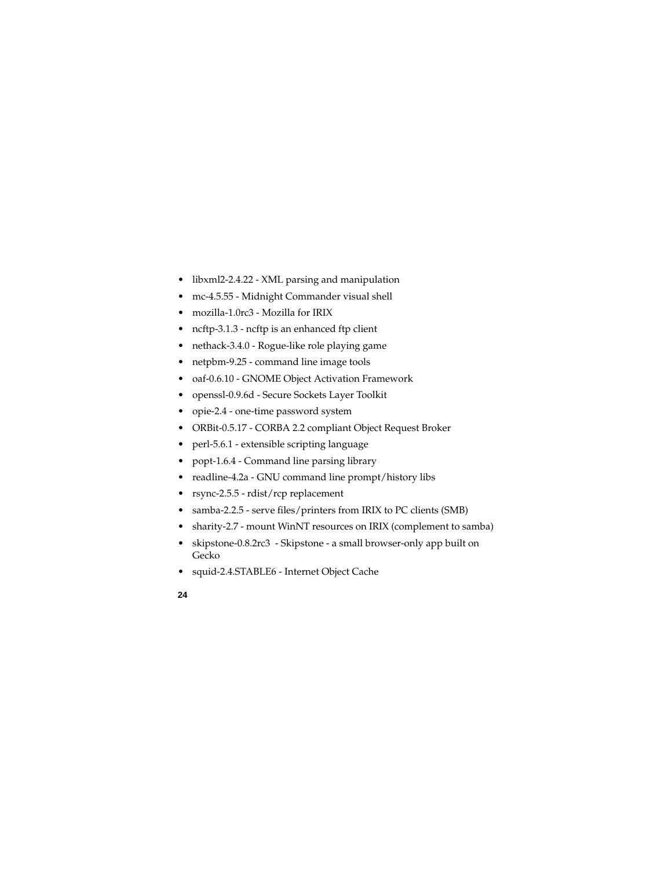- libxml2-2.4.22 XML parsing and manipulation
- mc-4.5.55 Midnight Commander visual shell
- mozilla-1.0rc3 Mozilla for IRIX
- ncftp-3.1.3 ncftp is an enhanced ftp client
- nethack-3.4.0 Rogue-like role playing game
- netpbm-9.25 command line image tools
- oaf-0.6.10 GNOME Object Activation Framework
- openssl-0.9.6d Secure Sockets Layer Toolkit
- opie-2.4 one-time password system
- ORBit-0.5.17 CORBA 2.2 compliant Object Request Broker
- perl-5.6.1 extensible scripting language
- popt-1.6.4 Command line parsing library
- readline-4.2a GNU command line prompt/history libs
- rsync-2.5.5 rdist/rcp replacement
- samba-2.2.5 serve files/printers from IRIX to PC clients (SMB)
- sharity-2.7 mount WinNT resources on IRIX (complement to samba)
- skipstone-0.8.2rc3 Skipstone a small browser-only app built on Gecko
- squid-2.4.STABLE6 Internet Object Cache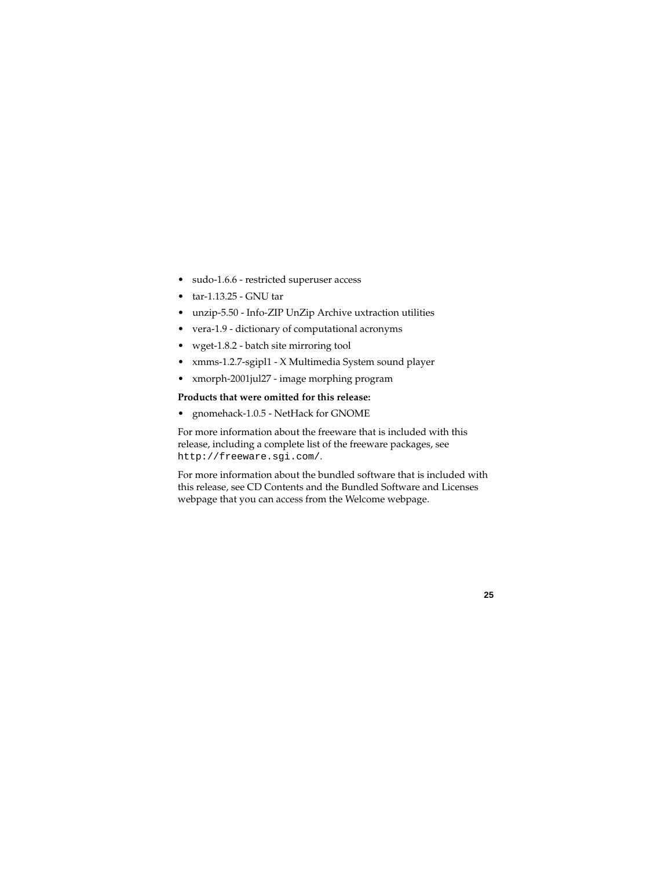- sudo-1.6.6 restricted superuser access
- $\bullet$  tar-1.13.25 GNU tar
- unzip-5.50 Info-ZIP UnZip Archive uxtraction utilities
- vera-1.9 dictionary of computational acronyms
- wget-1.8.2 batch site mirroring tool
- xmms-1.2.7-sgipl1 X Multimedia System sound player
- xmorph-2001jul27 image morphing program

#### **Products that were omitted for this release:**

• gnomehack-1.0.5 - NetHack for GNOME

For more information about the freeware that is included with this release, including a complete list of the freeware packages, see http://freeware.sgi.com/.

For more information about the bundled software that is included with this release, see CD Contents and the Bundled Software and Licenses webpage that you can access from the Welcome webpage.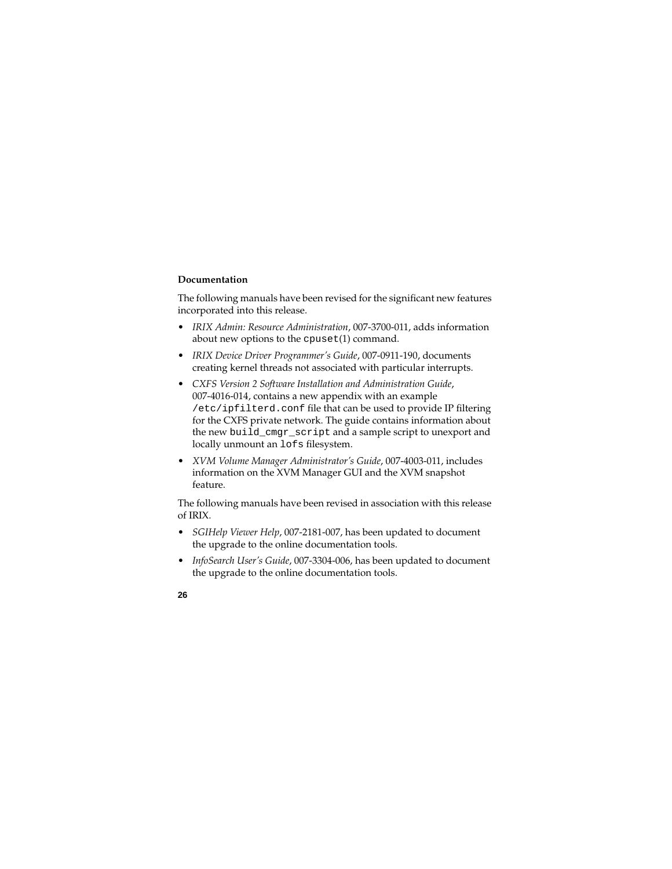#### **Documentation**

The following manuals have been revised for the significant new features incorporated into this release.

- *IRIX Admin: Resource Administration*, 007-3700-011, adds information about new options to the cpuset(1) command.
- *IRIX Device Driver Programmer's Guide*, 007-0911-190, documents creating kernel threads not associated with particular interrupts.
- *CXFS Version 2 Software Installation and Administration Guide*, 007-4016-014, contains a new appendix with an example /etc/ipfilterd.conf file that can be used to provide IP filtering for the CXFS private network. The guide contains information about the new build\_cmgr\_script and a sample script to unexport and locally unmount an lofs filesystem.
- *XVM Volume Manager Administrator's Guide*, 007-4003-011, includes information on the XVM Manager GUI and the XVM snapshot feature.

The following manuals have been revised in association with this release of IRIX.

- *SGIHelp Viewer Help*, 007-2181-007, has been updated to document the upgrade to the online documentation tools.
- *InfoSearch User's Guide*, 007-3304-006, has been updated to document the upgrade to the online documentation tools.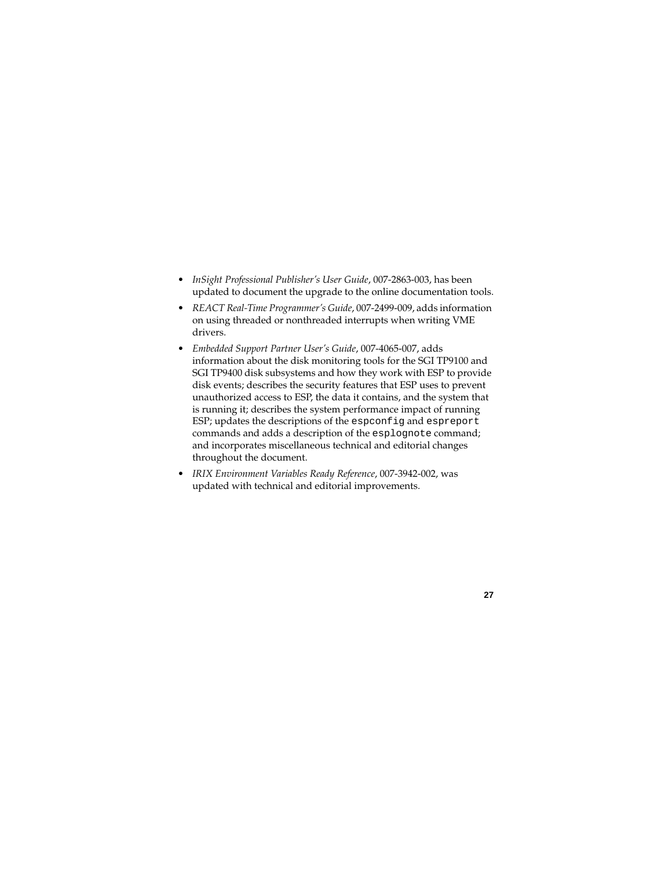- *InSight Professional Publisher's User Guide*, 007-2863-003, has been updated to document the upgrade to the online documentation tools.
- *REACT Real-Time Programmer's Guide*, 007-2499-009, adds information on using threaded or nonthreaded interrupts when writing VME drivers.
- *Embedded Support Partner User's Guide*, 007-4065-007, adds information about the disk monitoring tools for the SGI TP9100 and SGI TP9400 disk subsystems and how they work with ESP to provide disk events; describes the security features that ESP uses to prevent unauthorized access to ESP, the data it contains, and the system that is running it; describes the system performance impact of running ESP; updates the descriptions of the espconfig and espreport commands and adds a description of the esplognote command; and incorporates miscellaneous technical and editorial changes throughout the document.
- *IRIX Environment Variables Ready Reference*, 007-3942-002, was updated with technical and editorial improvements.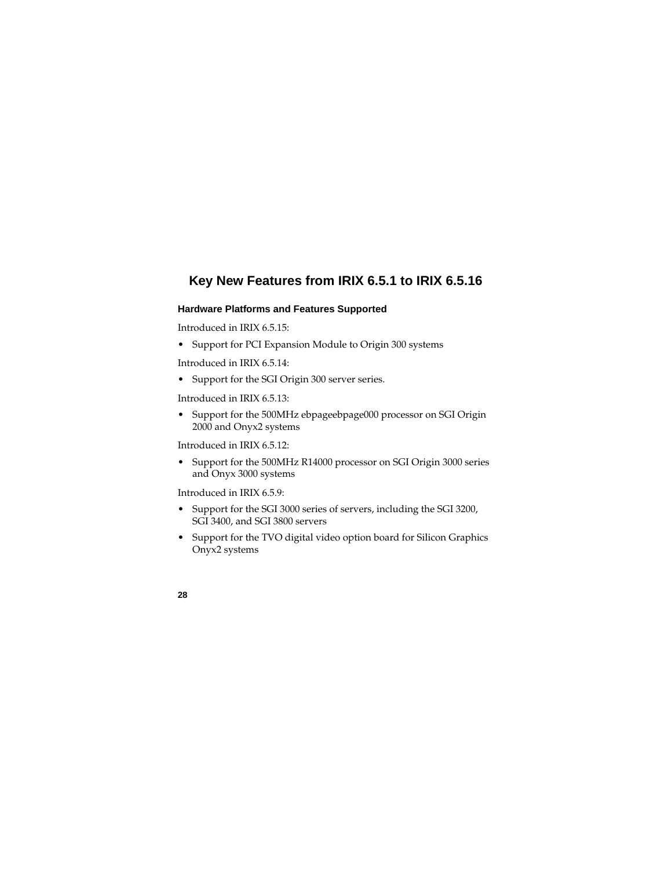# **Key New Features from IRIX 6.5.1 to IRIX 6.5.16**

### **Hardware Platforms and Features Supported**

Introduced in IRIX 6.5.15:

• Support for PCI Expansion Module to Origin 300 systems

Introduced in IRIX 6.5.14:

• Support for the SGI Origin 300 server series.

Introduced in IRIX 6.5.13:

• Support for the 500MHz ebpageebpage000 processor on SGI Origin 2000 and Onyx2 systems

Introduced in IRIX 6.5.12.

• Support for the 500MHz R14000 processor on SGI Origin 3000 series and Onyx 3000 systems

Introduced in IRIX 6.5.9:

- Support for the SGI 3000 series of servers, including the SGI 3200, SGI 3400, and SGI 3800 servers
- Support for the TVO digital video option board for Silicon Graphics Onyx2 systems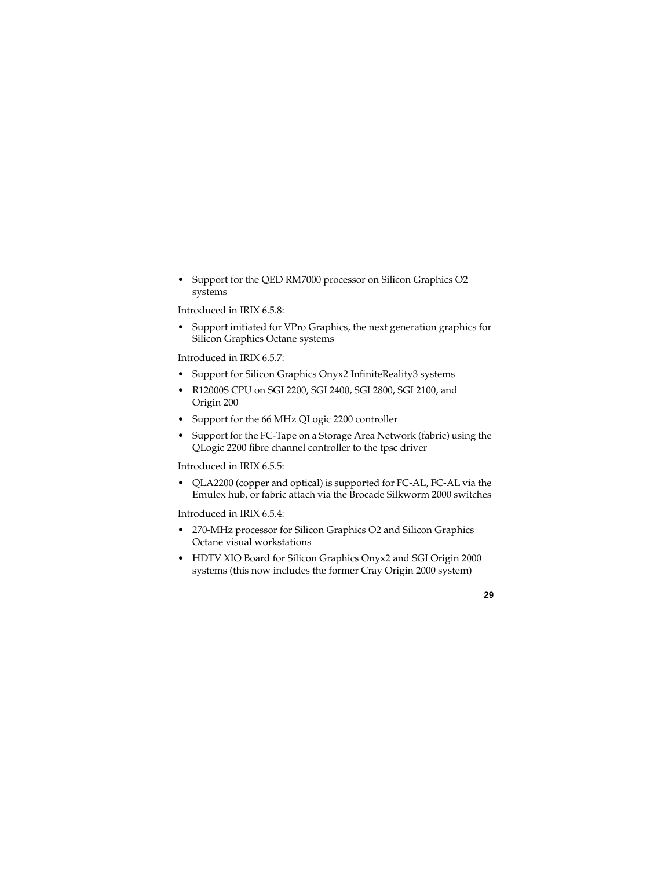• Support for the QED RM7000 processor on Silicon Graphics O2 systems

Introduced in IRIX 6.5.8:

• Support initiated for VPro Graphics, the next generation graphics for Silicon Graphics Octane systems

Introduced in IRIX 6.5.7:

- Support for Silicon Graphics Onyx2 InfiniteReality3 systems
- R12000S CPU on SGI 2200, SGI 2400, SGI 2800, SGI 2100, and Origin 200
- Support for the 66 MHz QLogic 2200 controller
- Support for the FC-Tape on a Storage Area Network (fabric) using the QLogic 2200 fibre channel controller to the tpsc driver

Introduced in IRIX 6.5.5:

• QLA2200 (copper and optical) is supported for FC-AL, FC-AL via the Emulex hub, or fabric attach via the Brocade Silkworm 2000 switches

Introduced in IRIX 6.5.4:

- 270-MHz processor for Silicon Graphics O2 and Silicon Graphics Octane visual workstations
- HDTV XIO Board for Silicon Graphics Onyx2 and SGI Origin 2000 systems (this now includes the former Cray Origin 2000 system)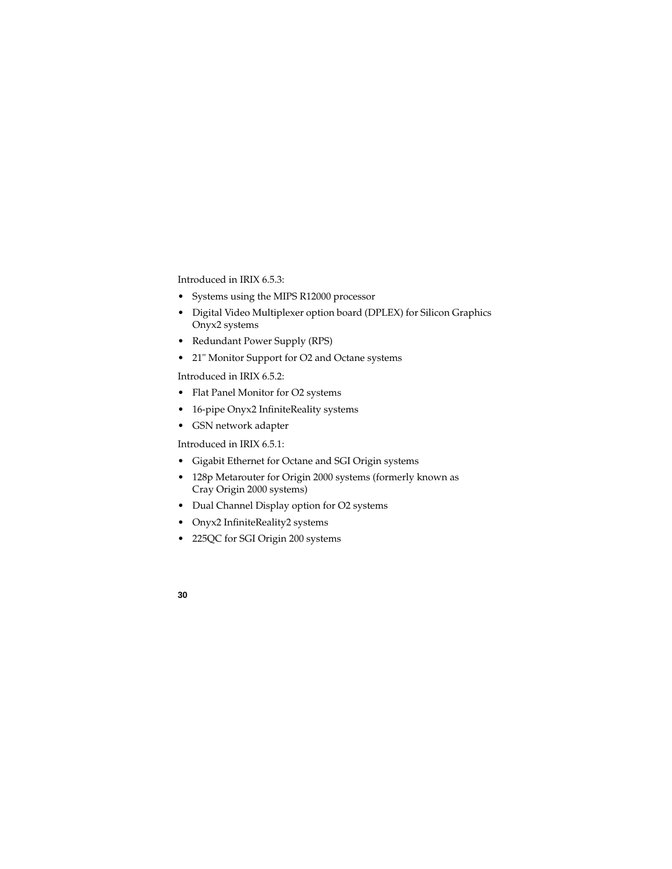Introduced in IRIX 6.5.3:

- Systems using the MIPS R12000 processor
- Digital Video Multiplexer option board (DPLEX) for Silicon Graphics Onyx2 systems
- Redundant Power Supply (RPS)
- 21" Monitor Support for O2 and Octane systems

Introduced in IRIX  $6.5.2$ 

- Flat Panel Monitor for O2 systems
- 16-pipe Onyx2 InfiniteReality systems
- GSN network adapter

Introduced in IRIX 6.5.1:

- Gigabit Ethernet for Octane and SGI Origin systems
- 128p Metarouter for Origin 2000 systems (formerly known as Cray Origin 2000 systems)
- Dual Channel Display option for O2 systems
- Onyx2 InfiniteReality2 systems
- 225QC for SGI Origin 200 systems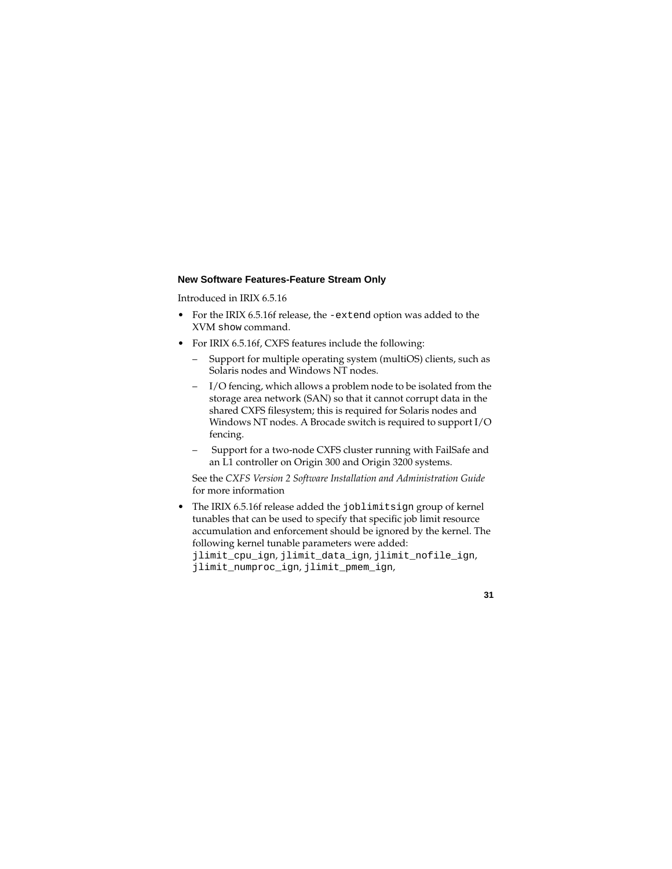#### **New Software Features-Feature Stream Only**

Introduced in IRIX 6.5.16

- For the IRIX 6.5.16f release, the -extend option was added to the XVM show command.
- For IRIX 6.5.16f, CXFS features include the following:
	- Support for multiple operating system (multiOS) clients, such as Solaris nodes and Windows NT nodes.
	- I/O fencing, which allows a problem node to be isolated from the storage area network (SAN) so that it cannot corrupt data in the shared CXFS filesystem; this is required for Solaris nodes and Windows NT nodes. A Brocade switch is required to support I/O fencing.
	- Support for a two-node CXFS cluster running with FailSafe and an L1 controller on Origin 300 and Origin 3200 systems.

See the *CXFS Version 2 Software Installation and Administration Guide* for more information

• The IRIX 6.5.16f release added the joblimitsign group of kernel tunables that can be used to specify that specific job limit resource accumulation and enforcement should be ignored by the kernel. The following kernel tunable parameters were added: jlimit\_cpu\_ign, jlimit\_data\_ign, jlimit\_nofile\_ign, jlimit\_numproc\_ign, jlimit\_pmem\_ign,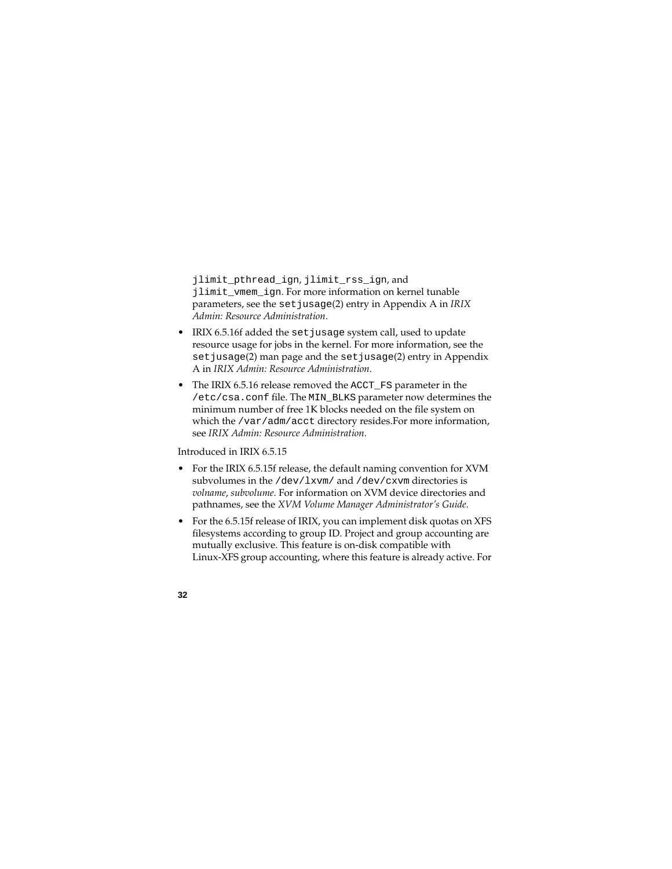jlimit\_pthread\_ign, jlimit\_rss\_ign, and jlimit\_vmem\_ign. For more information on kernel tunable parameters, see the setjusage(2) entry in Appendix A in *IRIX Admin: Resource Administration*.

- IRIX 6.5.16f added the set jusage system call, used to update resource usage for jobs in the kernel. For more information, see the set jusage(2) man page and the set jusage(2) entry in Appendix A in *IRIX Admin: Resource Administration*.
- The IRIX 6.5.16 release removed the ACCT\_FS parameter in the /etc/csa.conf file. The MIN\_BLKS parameter now determines the minimum number of free 1K blocks needed on the file system on which the /var/adm/acct directory resides.For more information, see *IRIX Admin: Resource Administration*.

Introduced in IRIX 6.5.15

- For the IRIX 6.5.15f release, the default naming convention for XVM subvolumes in the /dev/lxvm/ and /dev/cxvm directories is *volname*, *subvolume*. For information on XVM device directories and pathnames, see the *XVM Volume Manager Administrator's Guide*.
- For the 6.5.15f release of IRIX, you can implement disk quotas on XFS filesystems according to group ID. Project and group accounting are mutually exclusive. This feature is on-disk compatible with Linux-XFS group accounting, where this feature is already active. For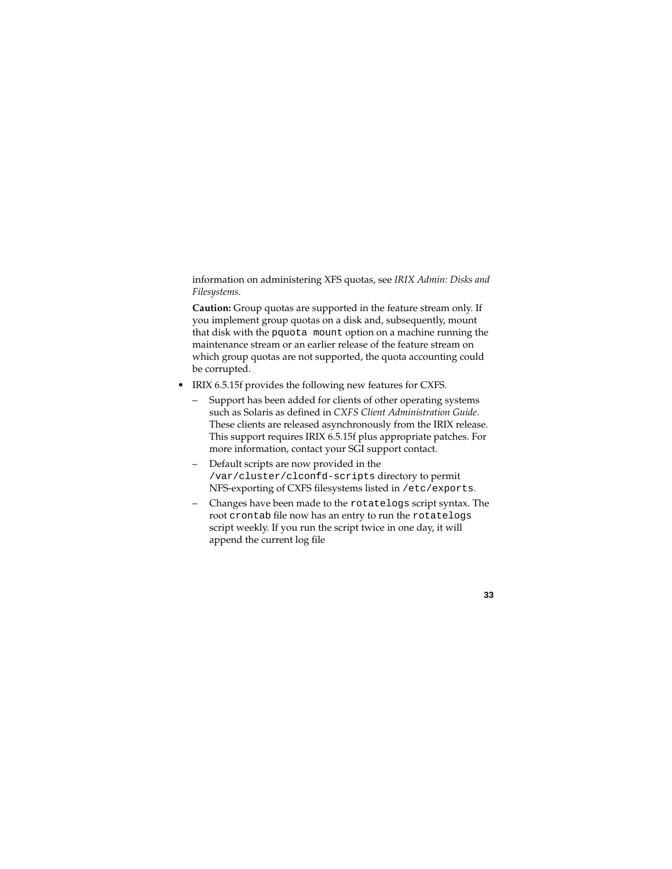information on administering XFS quotas, see *IRIX Admin: Disks and Filesystems*.

**Caution:** Group quotas are supported in the feature stream only. If you implement group quotas on a disk and, subsequently, mount that disk with the pquota mount option on a machine running the maintenance stream or an earlier release of the feature stream on which group quotas are not supported, the quota accounting could be corrupted.

- IRIX 6.5.15f provides the following new features for CXFS.
	- Support has been added for clients of other operating systems such as Solaris as defined in *CXFS Client Administration Guide*. These clients are released asynchronously from the IRIX release. This support requires IRIX 6.5.15f plus appropriate patches. For more information, contact your SGI support contact.
	- Default scripts are now provided in the /var/cluster/clconfd-scripts directory to permit NFS-exporting of CXFS filesystems listed in /etc/exports.
	- Changes have been made to the rotatelogs script syntax. The root crontab file now has an entry to run the rotatelogs script weekly. If you run the script twice in one day, it will append the current log file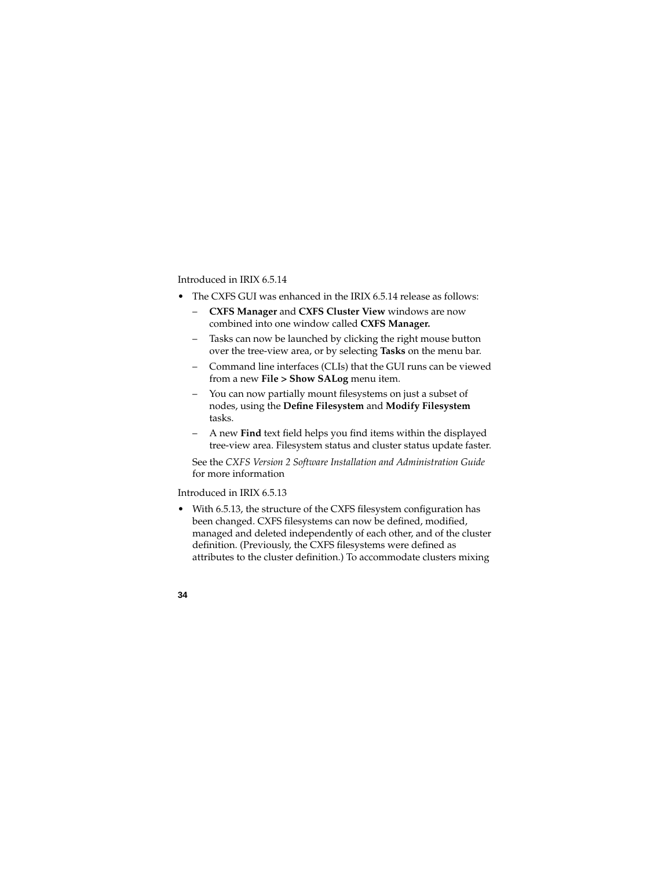# Introduced in IRIX 6.5.14

- The CXFS GUI was enhanced in the IRIX 6.5.14 release as follows:
	- **CXFS Manager** and **CXFS Cluster View** windows are now combined into one window called **CXFS Manager.**
	- Tasks can now be launched by clicking the right mouse button over the tree-view area, or by selecting **Tasks** on the menu bar.
	- Command line interfaces (CLIs) that the GUI runs can be viewed from a new **File > Show SALog** menu item.
	- You can now partially mount filesystems on just a subset of nodes, using the **Define Filesystem** and **Modify Filesystem** tasks.
	- A new **Find** text field helps you find items within the displayed tree-view area. Filesystem status and cluster status update faster.

See the *CXFS Version 2 Software Installation and Administration Guide* for more information

### Introduced in IRIX 6.5.13

• With 6.5.13, the structure of the CXFS filesystem configuration has been changed. CXFS filesystems can now be defined, modified, managed and deleted independently of each other, and of the cluster definition. (Previously, the CXFS filesystems were defined as attributes to the cluster definition.) To accommodate clusters mixing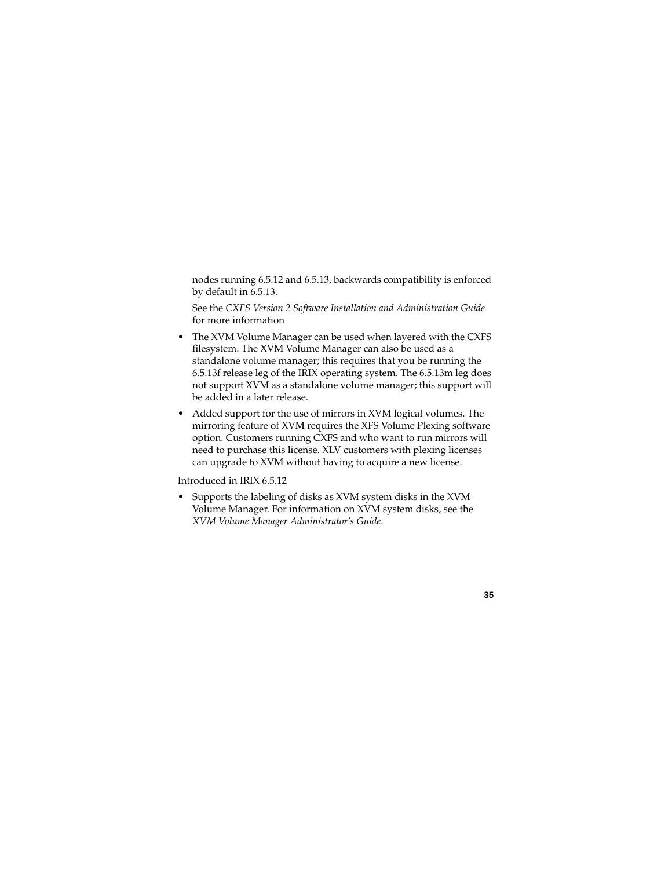nodes running 6.5.12 and 6.5.13, backwards compatibility is enforced by default in 6.5.13.

See the *CXFS Version 2 Software Installation and Administration Guide* for more information

- The XVM Volume Manager can be used when layered with the CXFS filesystem. The XVM Volume Manager can also be used as a standalone volume manager; this requires that you be running the 6.5.13f release leg of the IRIX operating system. The 6.5.13m leg does not support XVM as a standalone volume manager; this support will be added in a later release.
- Added support for the use of mirrors in XVM logical volumes. The mirroring feature of XVM requires the XFS Volume Plexing software option. Customers running CXFS and who want to run mirrors will need to purchase this license. XLV customers with plexing licenses can upgrade to XVM without having to acquire a new license.

Introduced in IRIX 6.5.12

• Supports the labeling of disks as XVM system disks in the XVM Volume Manager. For information on XVM system disks, see the *XVM Volume Manager Administrator's Guide*.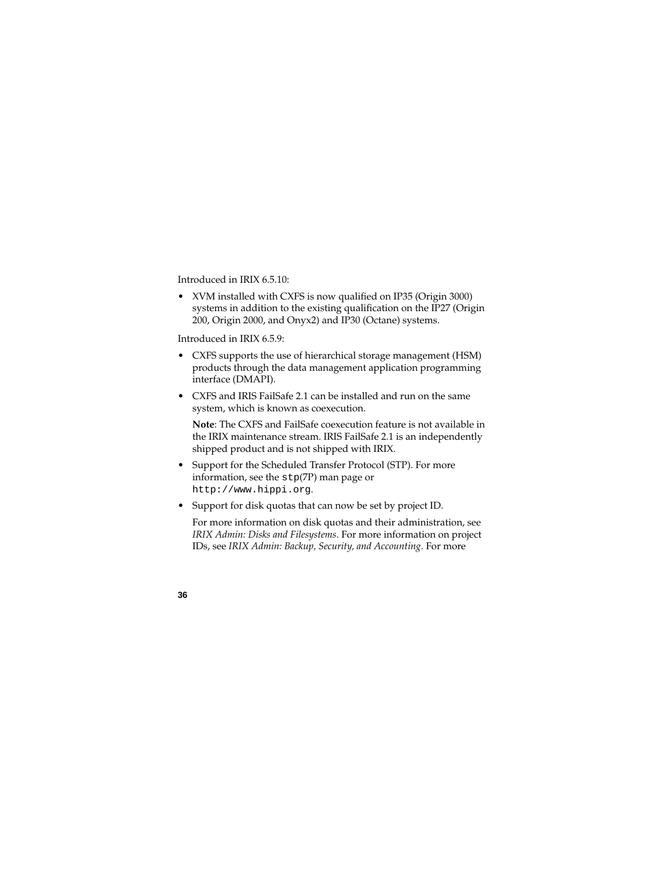Introduced in IRIX 6.5.10:

• XVM installed with CXFS is now qualified on IP35 (Origin 3000) systems in addition to the existing qualification on the IP27 (Origin 200, Origin 2000, and Onyx2) and IP30 (Octane) systems.

Introduced in IRIX 6.5.9:

- CXFS supports the use of hierarchical storage management (HSM) products through the data management application programming interface (DMAPI).
- CXFS and IRIS FailSafe 2.1 can be installed and run on the same system, which is known as coexecution.

**Note**: The CXFS and FailSafe coexecution feature is not available in the IRIX maintenance stream. IRIS FailSafe 2.1 is an independently shipped product and is not shipped with IRIX.

- Support for the Scheduled Transfer Protocol (STP). For more information, see the stp(7P) man page or http://www.hippi.org.
- Support for disk quotas that can now be set by project ID. For more information on disk quotas and their administration, see *IRIX Admin: Disks and Filesystems*. For more information on project

IDs, see *IRIX Admin: Backup, Security, and Accounting*. For more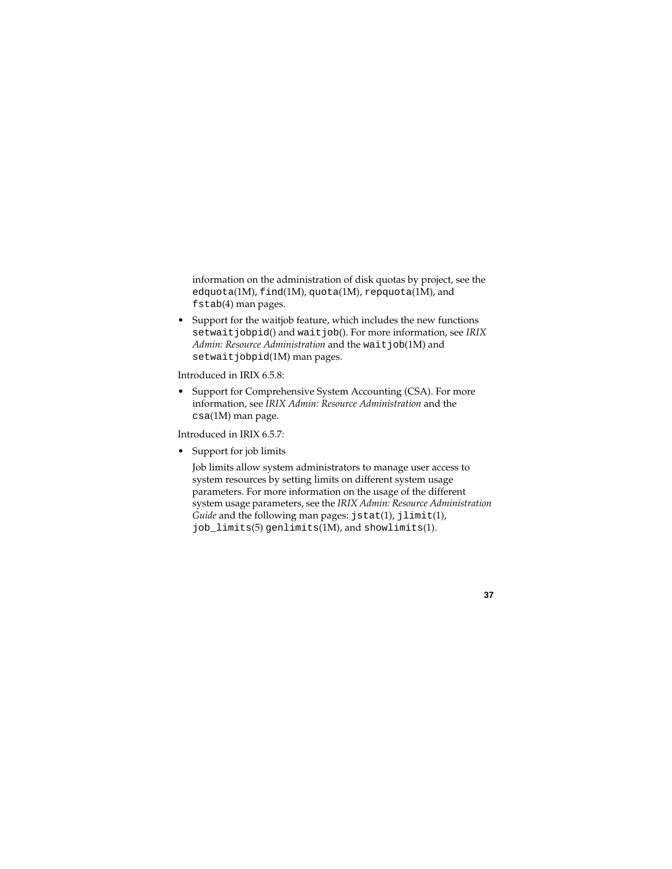information on the administration of disk quotas by project, see the edquota(1M), find(1M), quota(1M), repquota(1M), and fstab(4) man pages.

• Support for the waitjob feature, which includes the new functions setwaitjobpid() and waitjob(). For more information, see *IRIX Admin: Resource Administration* and the wait job(1M) and setwaitjobpid(1M) man pages.

Introduced in IRIX 6.5.8:

• Support for Comprehensive System Accounting (CSA). For more information, see *IRIX Admin: Resource Administration* and the csa(1M) man page.

Introduced in IRIX 6.5.7:

• Support for job limits

Job limits allow system administrators to manage user access to system resources by setting limits on different system usage parameters. For more information on the usage of the different system usage parameters, see the *IRIX Admin: Resource Administration Guide* and the following man pages: jstat(1), jlimit(1), job limits(5) genlimits(1M), and showlimits(1).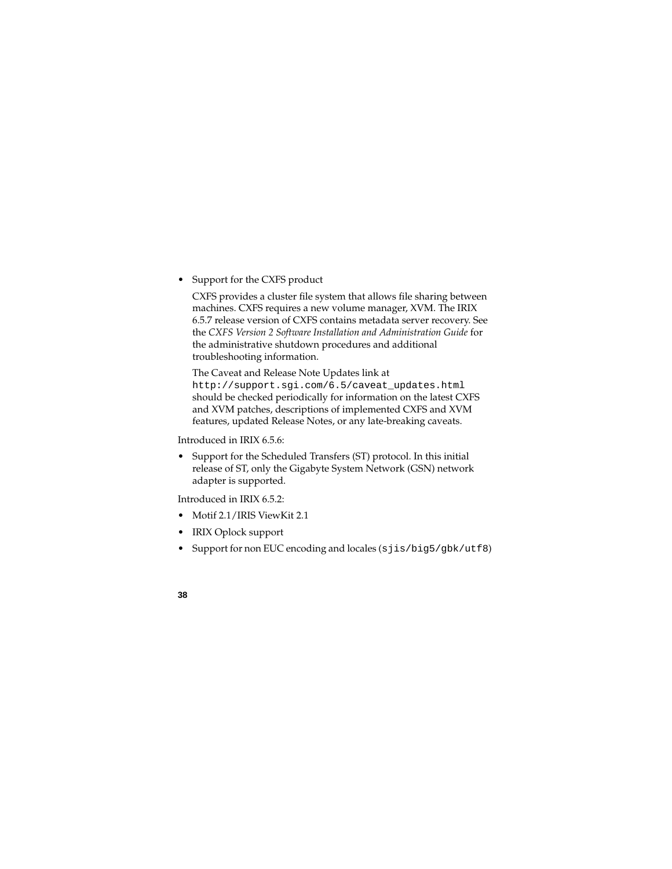• Support for the CXFS product

CXFS provides a cluster file system that allows file sharing between machines. CXFS requires a new volume manager, XVM. The IRIX 6.5.7 release version of CXFS contains metadata server recovery. See the *CXFS Version 2 Software Installation and Administration Guide* for the administrative shutdown procedures and additional troubleshooting information.

The Caveat and Release Note Updates link at http://support.sgi.com/6.5/caveat\_updates.html should be checked periodically for information on the latest CXFS and XVM patches, descriptions of implemented CXFS and XVM features, updated Release Notes, or any late-breaking caveats.

Introduced in IRIX 6.5.6:

• Support for the Scheduled Transfers (ST) protocol. In this initial release of ST, only the Gigabyte System Network (GSN) network adapter is supported.

Introduced in IRIX 6.5.2:

- Motif 2.1/IRIS ViewKit 2.1
- IRIX Oplock support
- Support for non EUC encoding and locales (sjis/big5/gbk/utf8)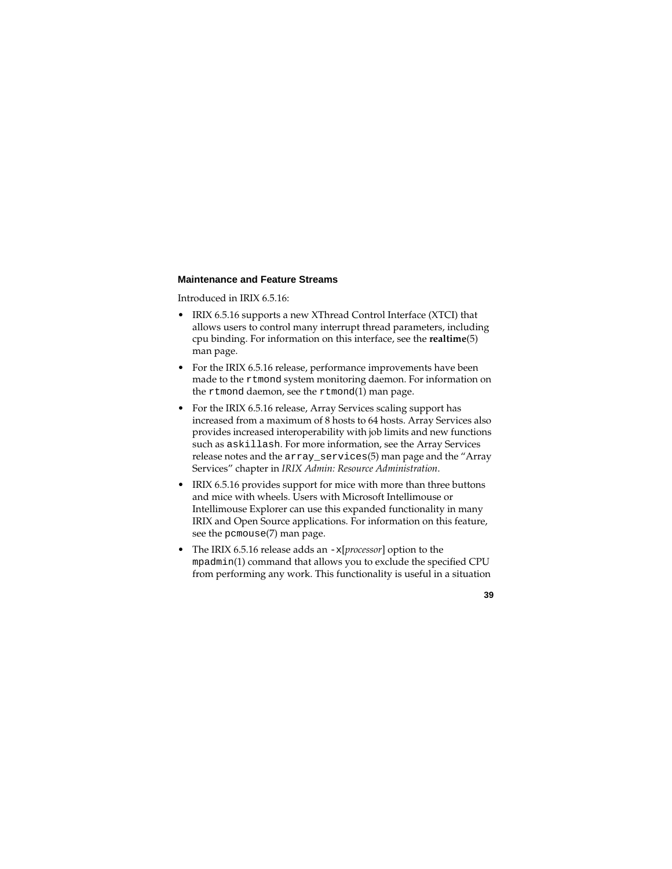#### **Maintenance and Feature Streams**

Introduced in IRIX 6.5.16:

- IRIX 6.5.16 supports a new XThread Control Interface (XTCI) that allows users to control many interrupt thread parameters, including cpu binding. For information on this interface, see the **realtime**(5) man page.
- For the IRIX 6.5.16 release, performance improvements have been made to the rtmond system monitoring daemon. For information on the rtmond daemon, see the rtmond(1) man page.
- For the IRIX 6.5.16 release, Array Services scaling support has increased from a maximum of 8 hosts to 64 hosts. Array Services also provides increased interoperability with job limits and new functions such as askillash. For more information, see the Array Services release notes and the array\_services(5) man page and the "Array Services" chapter in *IRIX Admin: Resource Administration*.
- IRIX 6.5.16 provides support for mice with more than three buttons and mice with wheels. Users with Microsoft Intellimouse or Intellimouse Explorer can use this expanded functionality in many IRIX and Open Source applications. For information on this feature, see the pcmouse(7) man page.
- The IRIX 6.5.16 release adds an -x[*processor*] option to the mpadmin(1) command that allows you to exclude the specified CPU from performing any work. This functionality is useful in a situation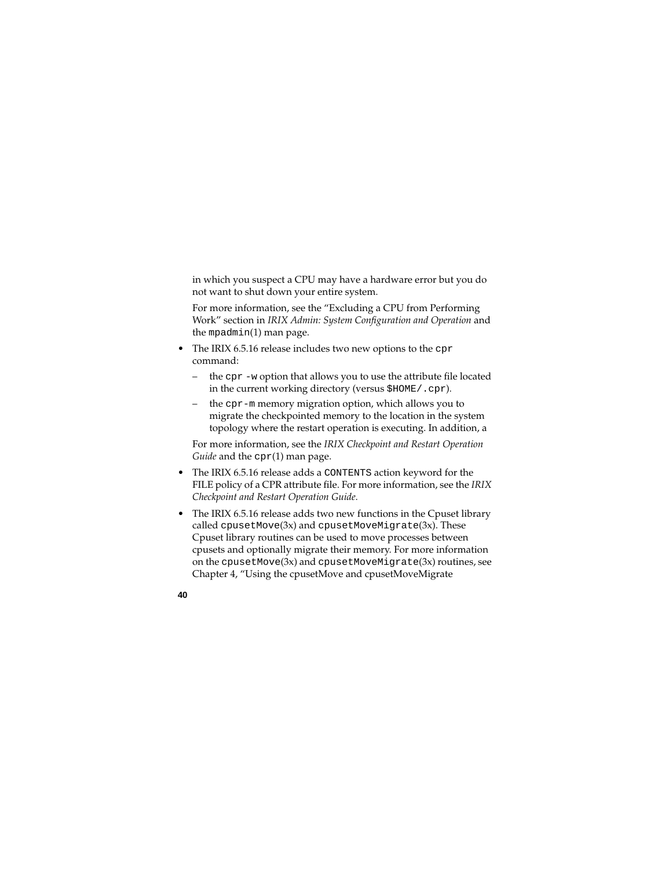in which you suspect a CPU may have a hardware error but you do not want to shut down your entire system.

For more information, see the "Excluding a CPU from Performing Work" section in *IRIX Admin: System Configuration and Operation* and the mpadmin(1) man page.

- The IRIX 6.5.16 release includes two new options to the cpr command:
	- the cpr -w option that allows you to use the attribute file located in the current working directory (versus \$HOME/.cpr).
	- the cpr-m memory migration option, which allows you to migrate the checkpointed memory to the location in the system topology where the restart operation is executing. In addition, a

For more information, see the *IRIX Checkpoint and Restart Operation Guide* and the cpr(1) man page.

- The IRIX 6.5.16 release adds a CONTENTS action keyword for the FILE policy of a CPR attribute file. For more information, see the *IRIX Checkpoint and Restart Operation Guide*.
- The IRIX 6.5.16 release adds two new functions in the Cpuset library called  $c$  pusetMove $(3x)$  and  $c$  pusetMoveMigrate $(3x)$ . These Cpuset library routines can be used to move processes between cpusets and optionally migrate their memory. For more information on the cpusetMove $(3x)$  and cpusetMoveMigrate $(3x)$  routines, see Chapter 4, "Using the cpusetMove and cpusetMoveMigrate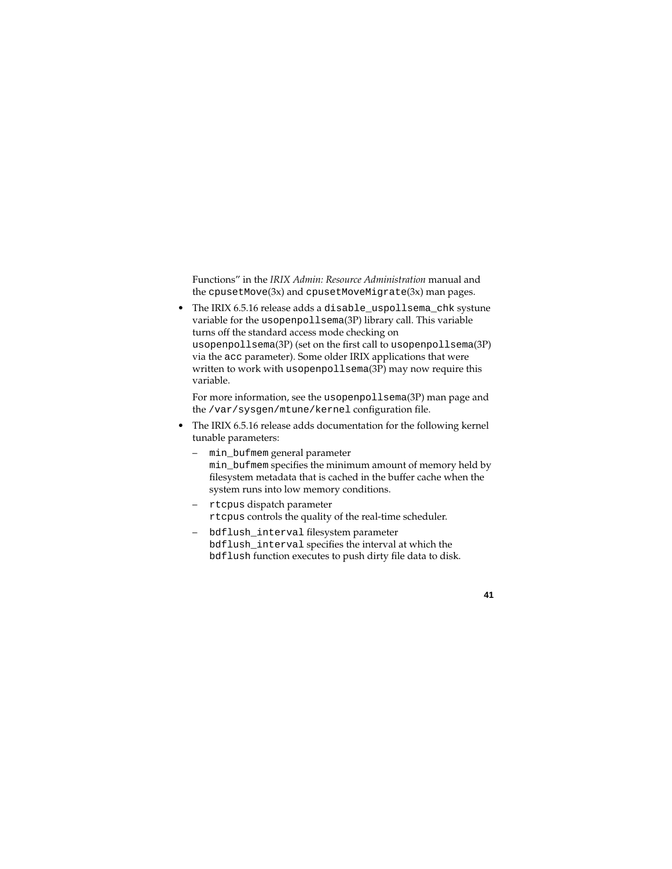Functions" in the *IRIX Admin: Resource Administration* manual and the cpusetMove(3x) and cpusetMoveMigrate(3x) man pages.

• The IRIX 6.5.16 release adds a disable\_uspollsema\_chk systune variable for the usopenpollsema(3P) library call. This variable turns off the standard access mode checking on usopenpollsema(3P) (set on the first call to usopenpollsema(3P) via the acc parameter). Some older IRIX applications that were written to work with usopenpollsema(3P) may now require this variable.

For more information, see the usopenpollsema(3P) man page and the /var/sysgen/mtune/kernel configuration file.

- The IRIX 6.5.16 release adds documentation for the following kernel tunable parameters:
	- min\_bufmem general parameter min\_bufmem specifies the minimum amount of memory held by filesystem metadata that is cached in the buffer cache when the system runs into low memory conditions.
	- rtcpus dispatch parameter rtcpus controls the quality of the real-time scheduler.
	- bdflush\_interval filesystem parameter bdflush\_interval specifies the interval at which the bdflush function executes to push dirty file data to disk.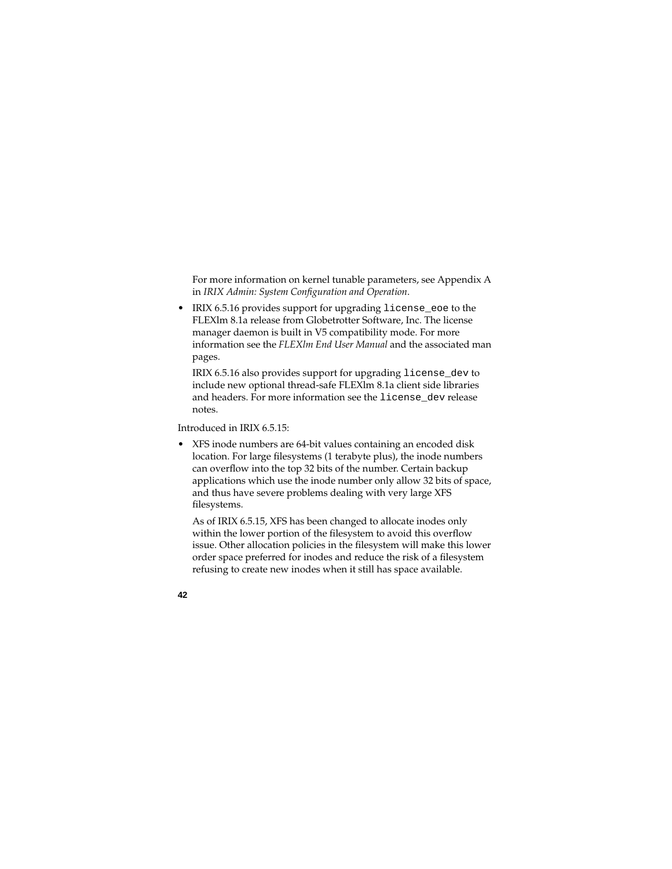For more information on kernel tunable parameters, see Appendix A in *IRIX Admin: System Configuration and Operation*.

• IRIX 6.5.16 provides support for upgrading license\_eoe to the FLEXlm 8.1a release from Globetrotter Software, Inc. The license manager daemon is built in V5 compatibility mode. For more information see the *FLEXlm End User Manual* and the associated man pages.

IRIX 6.5.16 also provides support for upgrading license\_dev to include new optional thread-safe FLEXlm 8.1a client side libraries and headers. For more information see the license dev release notes.

Introduced in IRIX 6.5.15:

• XFS inode numbers are 64-bit values containing an encoded disk location. For large filesystems (1 terabyte plus), the inode numbers can overflow into the top 32 bits of the number. Certain backup applications which use the inode number only allow 32 bits of space, and thus have severe problems dealing with very large XFS filesystems.

As of IRIX 6.5.15, XFS has been changed to allocate inodes only within the lower portion of the filesystem to avoid this overflow issue. Other allocation policies in the filesystem will make this lower order space preferred for inodes and reduce the risk of a filesystem refusing to create new inodes when it still has space available.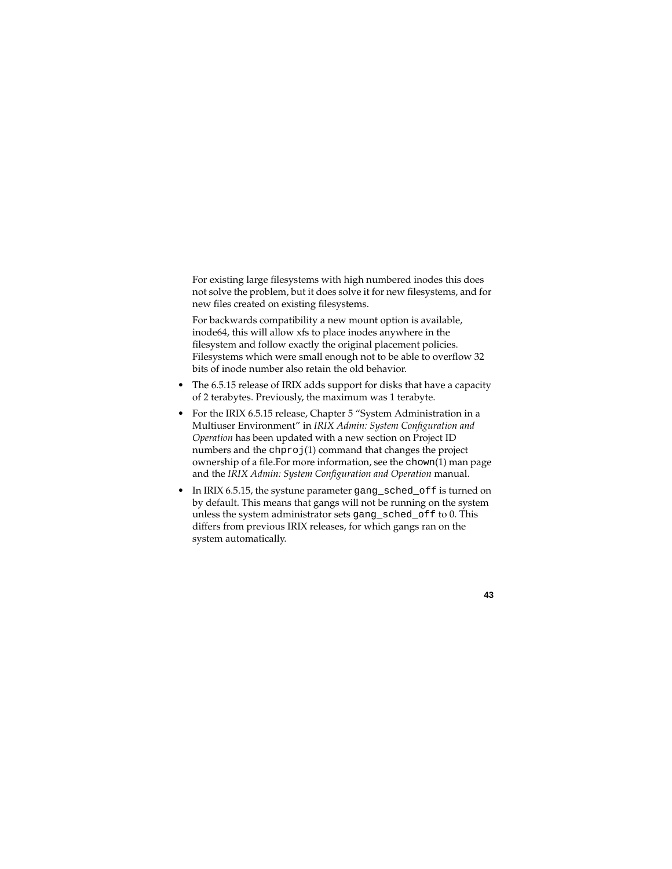For existing large filesystems with high numbered inodes this does not solve the problem, but it does solve it for new filesystems, and for new files created on existing filesystems.

For backwards compatibility a new mount option is available, inode64, this will allow xfs to place inodes anywhere in the filesystem and follow exactly the original placement policies. Filesystems which were small enough not to be able to overflow 32 bits of inode number also retain the old behavior.

- The 6.5.15 release of IRIX adds support for disks that have a capacity of 2 terabytes. Previously, the maximum was 1 terabyte.
- For the IRIX 6.5.15 release, Chapter 5 "System Administration in a Multiuser Environment" in *IRIX Admin: System Configuration and Operation* has been updated with a new section on Project ID numbers and the chproj(1) command that changes the project ownership of a file.For more information, see the chown(1) man page and the *IRIX Admin: System Configuration and Operation* manual.
- In IRIX 6.5.15, the systune parameter gang\_sched\_off is turned on by default. This means that gangs will not be running on the system unless the system administrator sets gang\_sched\_off to 0. This differs from previous IRIX releases, for which gangs ran on the system automatically.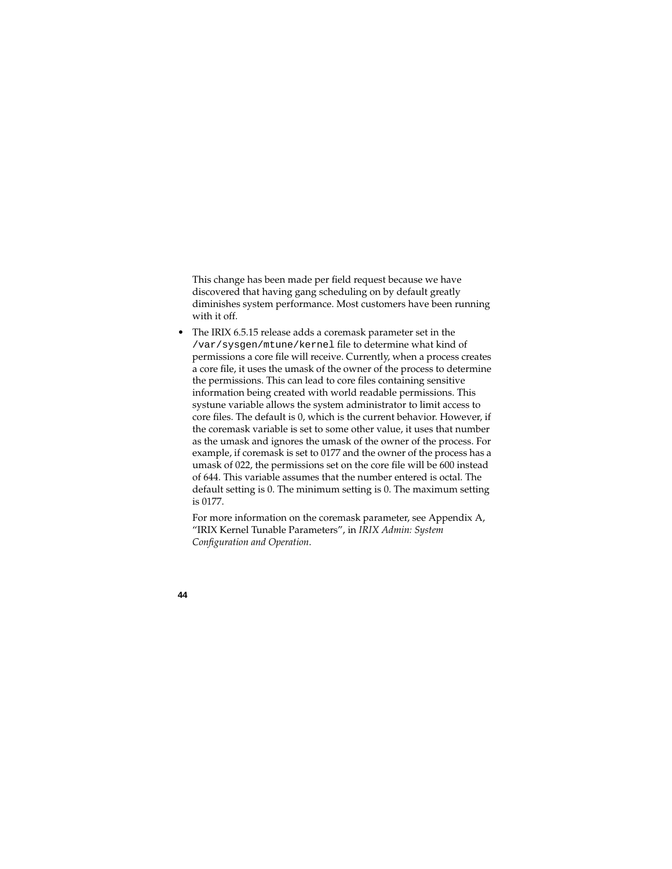This change has been made per field request because we have discovered that having gang scheduling on by default greatly diminishes system performance. Most customers have been running with it off.

• The IRIX 6.5.15 release adds a coremask parameter set in the /var/sysgen/mtune/kernel file to determine what kind of permissions a core file will receive. Currently, when a process creates a core file, it uses the umask of the owner of the process to determine the permissions. This can lead to core files containing sensitive information being created with world readable permissions. This systune variable allows the system administrator to limit access to core files. The default is 0, which is the current behavior. However, if the coremask variable is set to some other value, it uses that number as the umask and ignores the umask of the owner of the process. For example, if coremask is set to 0177 and the owner of the process has a umask of 022, the permissions set on the core file will be 600 instead of 644. This variable assumes that the number entered is octal. The default setting is 0. The minimum setting is 0. The maximum setting is 0177.

For more information on the coremask parameter, see Appendix A, "IRIX Kernel Tunable Parameters", in *IRIX Admin: System Configuration and Operation*.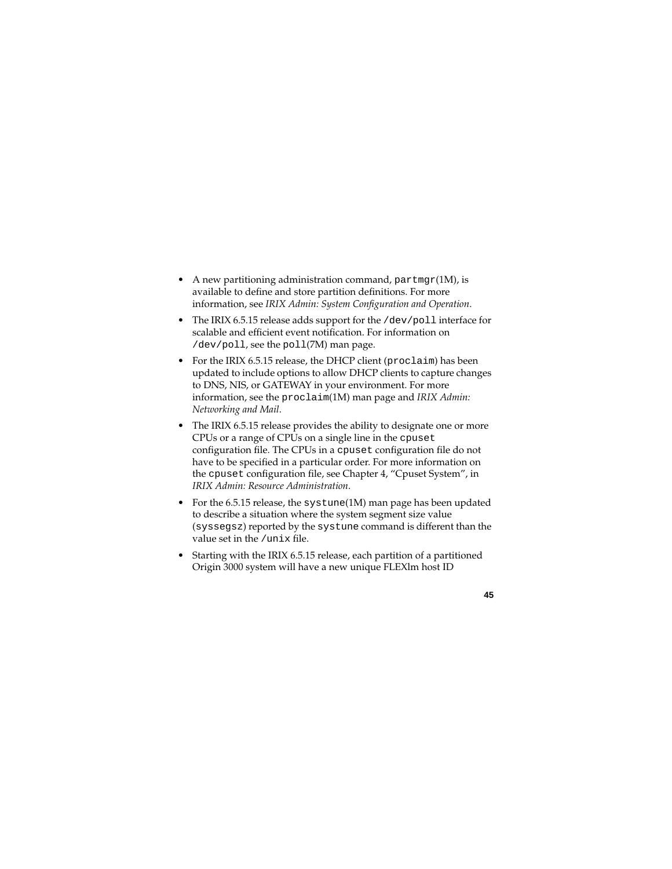- A new partitioning administration command,  $\text{partmap}(1\text{M})$ , is available to define and store partition definitions. For more information, see *IRIX Admin: System Configuration and Operation*.
- The IRIX 6.5.15 release adds support for the /dev/poll interface for scalable and efficient event notification. For information on /dev/poll, see the poll(7M) man page.
- For the IRIX 6.5.15 release, the DHCP client (proclaim) has been updated to include options to allow DHCP clients to capture changes to DNS, NIS, or GATEWAY in your environment. For more information, see the proclaim(1M) man page and *IRIX Admin: Networking and Mail*.
- The IRIX 6.5.15 release provides the ability to designate one or more CPUs or a range of CPUs on a single line in the cpuset configuration file. The CPUs in a cpuset configuration file do not have to be specified in a particular order. For more information on the cpuset configuration file, see Chapter 4, "Cpuset System", in *IRIX Admin: Resource Administration*.
- For the 6.5.15 release, the systune(1M) man page has been updated to describe a situation where the system segment size value (syssegsz) reported by the systune command is different than the value set in the /unix file.
- Starting with the IRIX 6.5.15 release, each partition of a partitioned Origin 3000 system will have a new unique FLEXlm host ID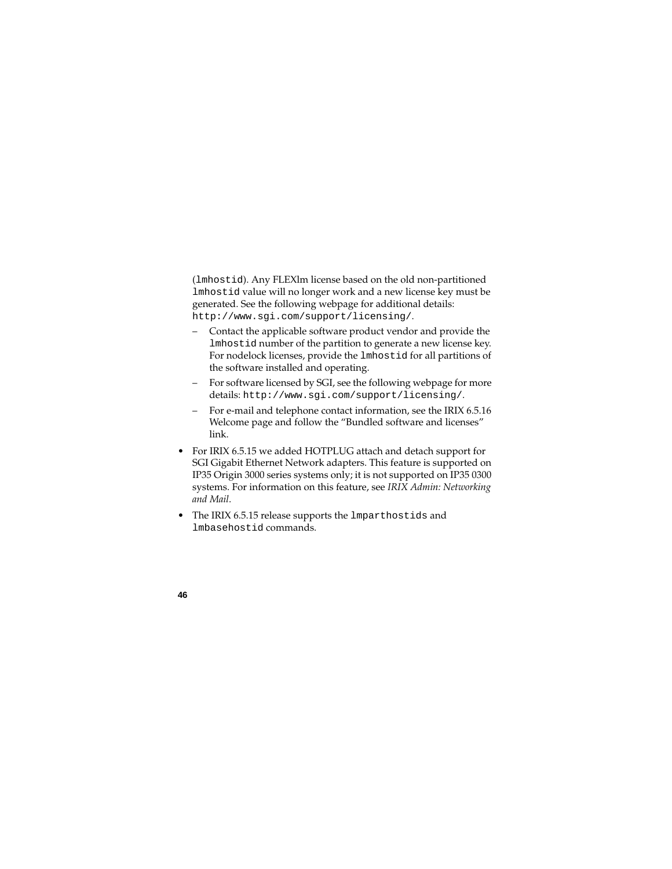(lmhostid). Any FLEXlm license based on the old non-partitioned lmhostid value will no longer work and a new license key must be generated. See the following webpage for additional details: http://www.sgi.com/support/licensing/.

- Contact the applicable software product vendor and provide the lmhostid number of the partition to generate a new license key. For nodelock licenses, provide the lmhostid for all partitions of the software installed and operating.
- For software licensed by SGI, see the following webpage for more details: http://www.sgi.com/support/licensing/.
- For e-mail and telephone contact information, see the IRIX 6.5.16 Welcome page and follow the "Bundled software and licenses" link.
- For IRIX 6.5.15 we added HOTPLUG attach and detach support for SGI Gigabit Ethernet Network adapters. This feature is supported on IP35 Origin 3000 series systems only; it is not supported on IP35 0300 systems. For information on this feature, see *IRIX Admin: Networking and Mail*.
- The IRIX 6.5.15 release supports the lmparthostids and lmbasehostid commands.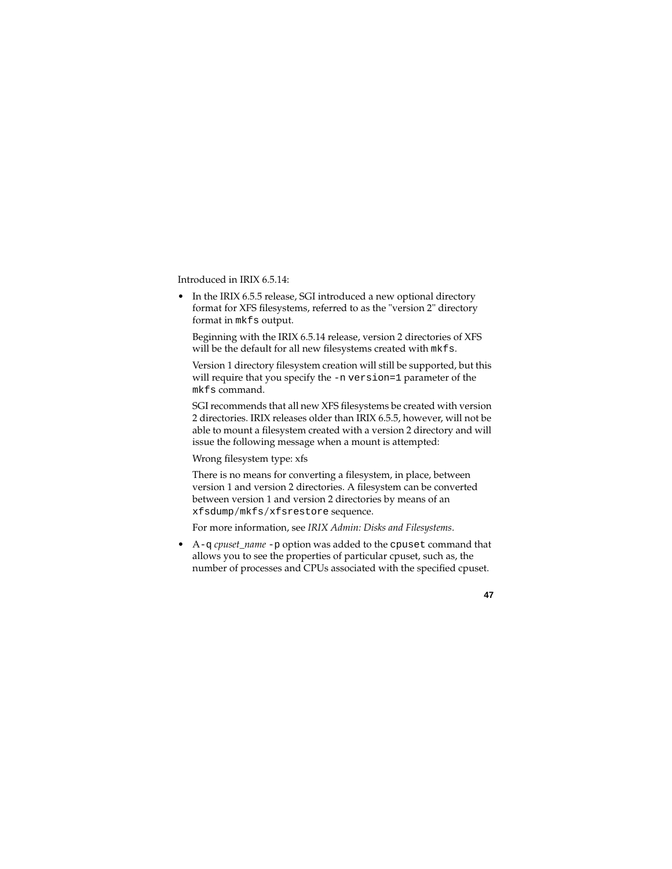Introduced in IRIX 6.5.14:

In the IRIX 6.5.5 release, SGI introduced a new optional directory format for XFS filesystems, referred to as the "version 2" directory format in mkfs output.

Beginning with the IRIX 6.5.14 release, version 2 directories of XFS will be the default for all new filesystems created with mkfs.

Version 1 directory filesystem creation will still be supported, but this will require that you specify the -n version=1 parameter of the mkfs command.

SGI recommends that all new XFS filesystems be created with version 2 directories. IRIX releases older than IRIX 6.5.5, however, will not be able to mount a filesystem created with a version 2 directory and will issue the following message when a mount is attempted:

Wrong filesystem type: xfs

There is no means for converting a filesystem, in place, between version 1 and version 2 directories. A filesystem can be converted between version 1 and version 2 directories by means of an xfsdump/mkfs/xfsrestore sequence.

For more information, see *IRIX Admin: Disks and Filesystems*.

• A-q *cpuset name* -p option was added to the cpuset command that allows you to see the properties of particular cpuset, such as, the number of processes and CPUs associated with the specified cpuset.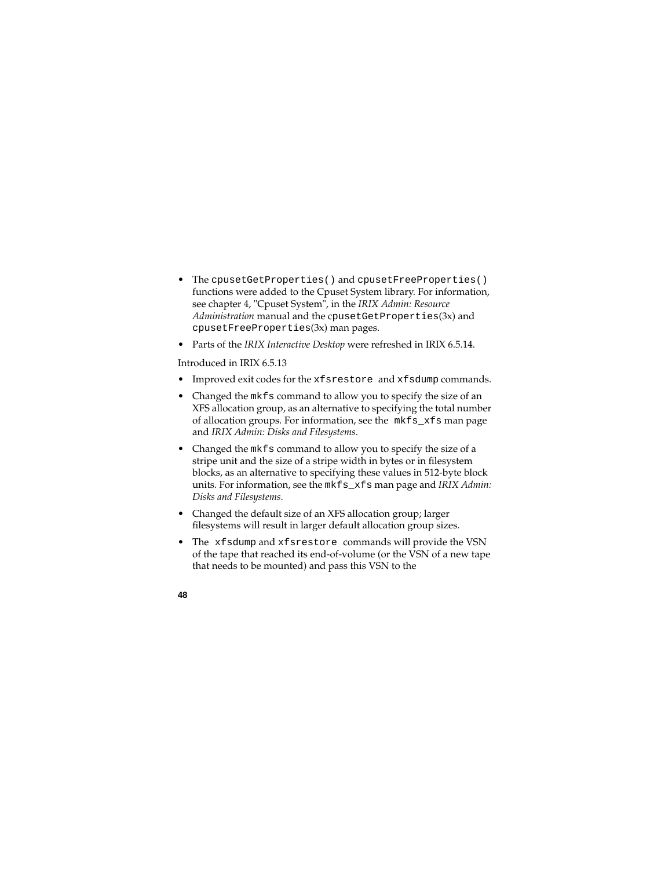- The cpusetGetProperties() and cpusetFreeProperties() functions were added to the Cpuset System library. For information, see chapter 4, "Cpuset System", in the *IRIX Admin: Resource Administration* manual and the cpusetGetProperties(3x) and cpusetFreeProperties(3x) man pages.
- Parts of the *IRIX Interactive Desktop* were refreshed in IRIX 6.5.14.

Introduced in IRIX 6.5.13

- Improved exit codes for the xfsrestore and xfsdump commands.
- Changed the mkfs command to allow you to specify the size of an XFS allocation group, as an alternative to specifying the total number of allocation groups. For information, see the mkfs\_xfs man page and *IRIX Admin: Disks and Filesystems*.
- Changed the mkfs command to allow you to specify the size of a stripe unit and the size of a stripe width in bytes or in filesystem blocks, as an alternative to specifying these values in 512-byte block units. For information, see the mkfs\_xfs man page and *IRIX Admin: Disks and Filesystems*.
- Changed the default size of an XFS allocation group; larger filesystems will result in larger default allocation group sizes.
- The xfsdump and xfsrestore commands will provide the VSN of the tape that reached its end-of-volume (or the VSN of a new tape that needs to be mounted) and pass this VSN to the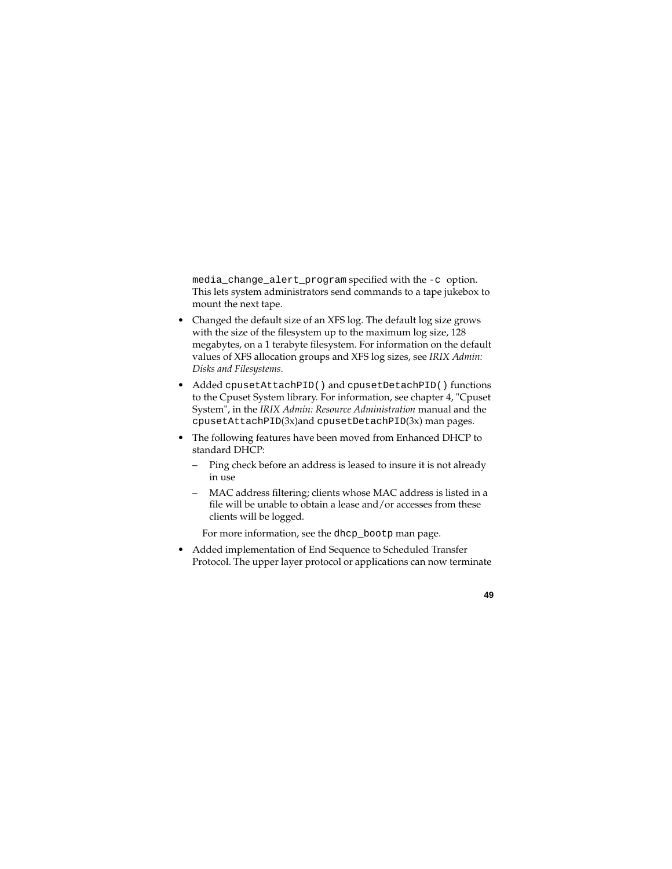media\_change\_alert\_program specified with the -c option. This lets system administrators send commands to a tape jukebox to mount the next tape.

- Changed the default size of an XFS log. The default log size grows with the size of the filesystem up to the maximum log size, 128 megabytes, on a 1 terabyte filesystem. For information on the default values of XFS allocation groups and XFS log sizes, see *IRIX Admin: Disks and Filesystems*.
- Added cpusetAttachPID() and cpusetDetachPID() functions to the Cpuset System library. For information, see chapter 4, "Cpuset System", in the *IRIX Admin: Resource Administration* manual and the cpusetAttachPID(3x)and cpusetDetachPID(3x) man pages.
- The following features have been moved from Enhanced DHCP to standard DHCP:
	- Ping check before an address is leased to insure it is not already in use
	- MAC address filtering; clients whose MAC address is listed in a file will be unable to obtain a lease and/or accesses from these clients will be logged.

For more information, see the dhcp\_bootp man page.

• Added implementation of End Sequence to Scheduled Transfer Protocol. The upper layer protocol or applications can now terminate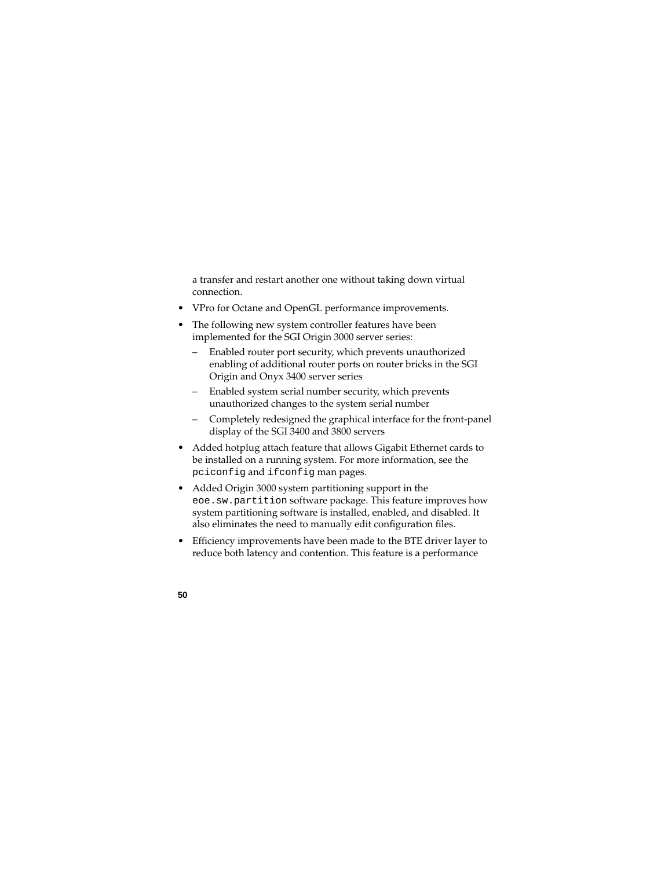a transfer and restart another one without taking down virtual connection.

- VPro for Octane and OpenGL performance improvements.
- The following new system controller features have been implemented for the SGI Origin 3000 server series:
	- Enabled router port security, which prevents unauthorized enabling of additional router ports on router bricks in the SGI Origin and Onyx 3400 server series
	- Enabled system serial number security, which prevents unauthorized changes to the system serial number
	- Completely redesigned the graphical interface for the front-panel display of the SGI 3400 and 3800 servers
- Added hotplug attach feature that allows Gigabit Ethernet cards to be installed on a running system. For more information, see the pciconfig and ifconfig man pages.
- Added Origin 3000 system partitioning support in the eoe.sw.partition software package. This feature improves how system partitioning software is installed, enabled, and disabled. It also eliminates the need to manually edit configuration files.
- Efficiency improvements have been made to the BTE driver layer to reduce both latency and contention. This feature is a performance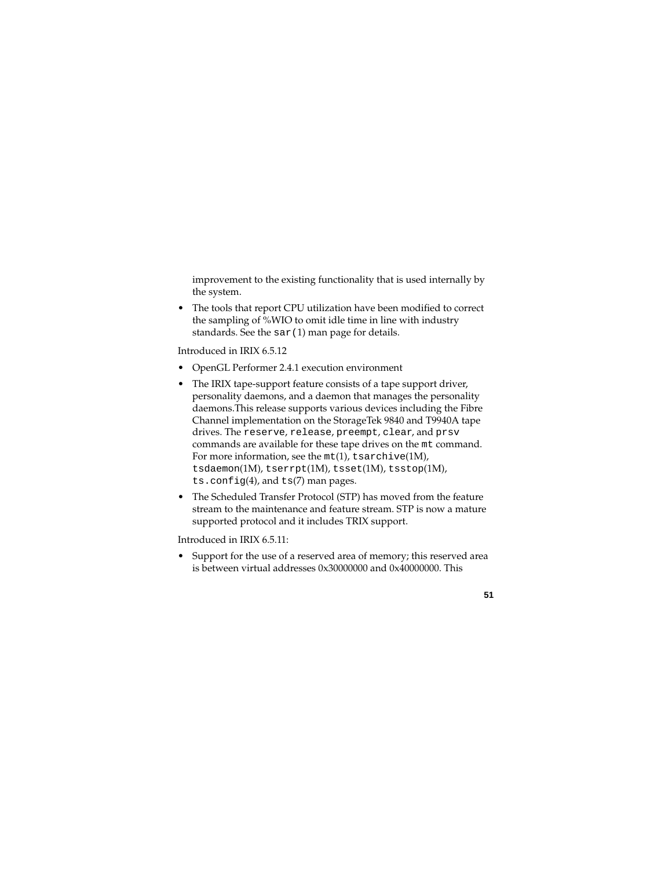improvement to the existing functionality that is used internally by the system.

• The tools that report CPU utilization have been modified to correct the sampling of %WIO to omit idle time in line with industry standards. See the  $sar(1)$  man page for details.

Introduced in IRIX 6.5.12

- OpenGL Performer 2.4.1 execution environment
- The IRIX tape-support feature consists of a tape support driver, personality daemons, and a daemon that manages the personality daemons.This release supports various devices including the Fibre Channel implementation on the StorageTek 9840 and T9940A tape drives. The reserve, release, preempt, clear, and prsv commands are available for these tape drives on the mt command. For more information, see the  $m t(1)$ , tsarchive(1M), tsdaemon(1M), tserrpt(1M), tsset(1M), tsstop(1M), ts.config(4), and ts(7) man pages.
- The Scheduled Transfer Protocol (STP) has moved from the feature stream to the maintenance and feature stream. STP is now a mature supported protocol and it includes TRIX support.

Introduced in IRIX 6.5.11:

• Support for the use of a reserved area of memory; this reserved area is between virtual addresses 0x30000000 and 0x40000000. This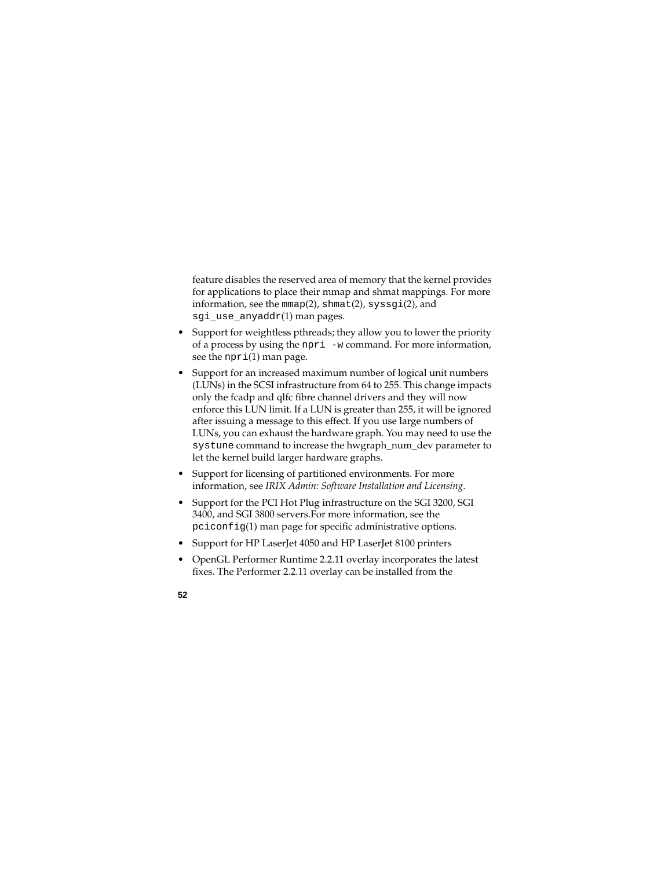feature disables the reserved area of memory that the kernel provides for applications to place their mmap and shmat mappings. For more information, see the  $mmap(2)$ , shmat $(2)$ , syssgi $(2)$ , and sgi\_use\_anyaddr(1) man pages.

- Support for weightless pthreads; they allow you to lower the priority of a process by using the npri -w command. For more information, see the  $npri(1)$  man page.
- Support for an increased maximum number of logical unit numbers (LUNs) in the SCSI infrastructure from 64 to 255. This change impacts only the fcadp and qlfc fibre channel drivers and they will now enforce this LUN limit. If a LUN is greater than 255, it will be ignored after issuing a message to this effect. If you use large numbers of LUNs, you can exhaust the hardware graph. You may need to use the systune command to increase the hwgraph\_num\_dev parameter to let the kernel build larger hardware graphs.
- Support for licensing of partitioned environments. For more information, see *IRIX Admin: Software Installation and Licensing*.
- Support for the PCI Hot Plug infrastructure on the SGI 3200, SGI 3400, and SGI 3800 servers.For more information, see the pciconfig(1) man page for specific administrative options.
- Support for HP Laser Jet 4050 and HP Laser Jet 8100 printers
- OpenGL Performer Runtime 2.2.11 overlay incorporates the latest fixes. The Performer 2.2.11 overlay can be installed from the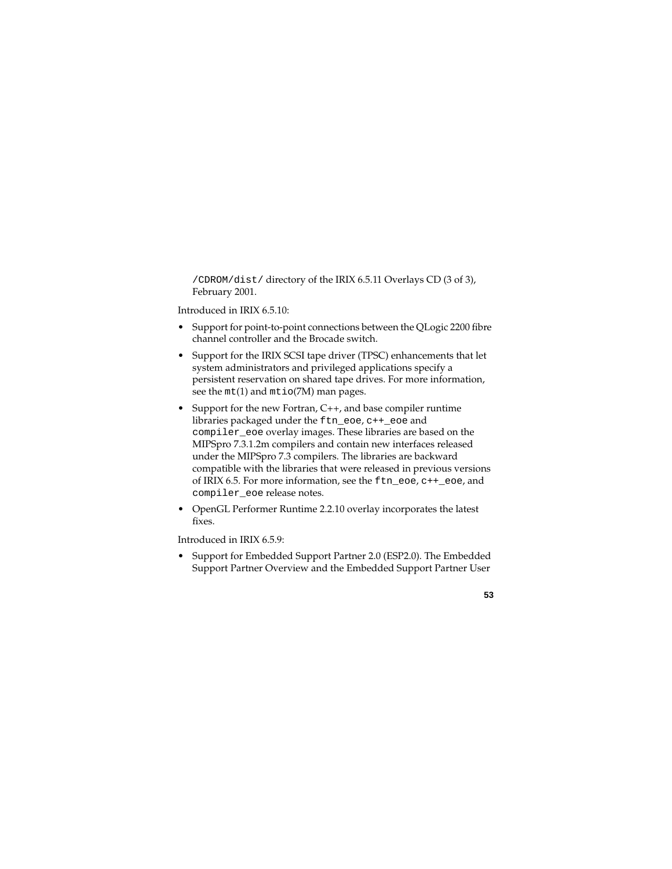/CDROM/dist/ directory of the IRIX 6.5.11 Overlays CD (3 of 3), February 2001.

Introduced in IRIX 6.5.10:

- Support for point-to-point connections between the QLogic 2200 fibre channel controller and the Brocade switch.
- Support for the IRIX SCSI tape driver (TPSC) enhancements that let system administrators and privileged applications specify a persistent reservation on shared tape drives. For more information, see the  $m t(1)$  and  $m t i o(7M)$  man pages.
- Support for the new Fortran, C<sub>++</sub>, and base compiler runtime libraries packaged under the ftn\_eoe, c++\_eoe and compiler\_eoe overlay images. These libraries are based on the MIPSpro 7.3.1.2m compilers and contain new interfaces released under the MIPSpro 7.3 compilers. The libraries are backward compatible with the libraries that were released in previous versions of IRIX 6.5. For more information, see the ftn\_eoe, c++\_eoe, and compiler\_eoe release notes.
- OpenGL Performer Runtime 2.2.10 overlay incorporates the latest fixes.

Introduced in IRIX 6.5.9:

• Support for Embedded Support Partner 2.0 (ESP2.0). The Embedded Support Partner Overview and the Embedded Support Partner User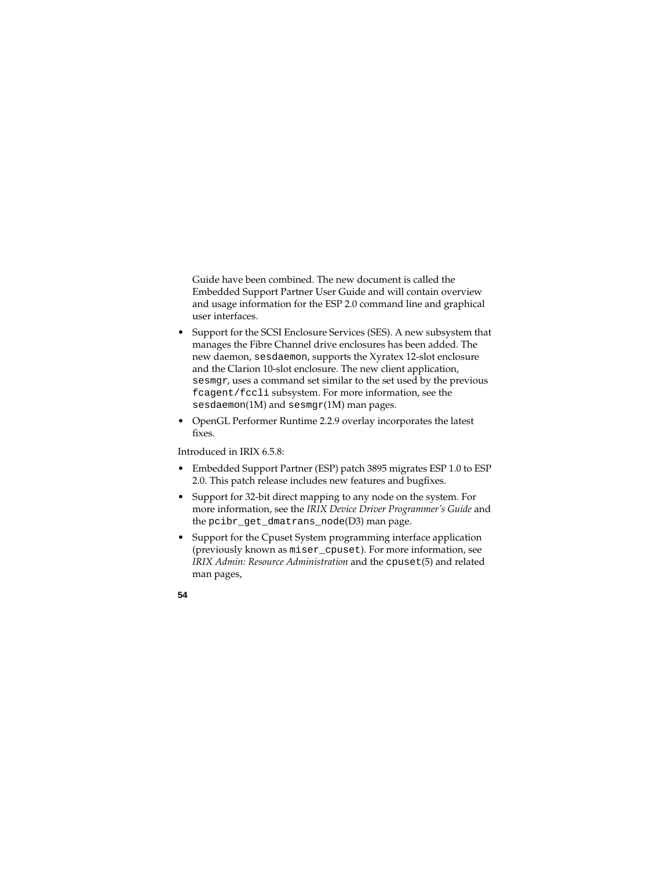Guide have been combined. The new document is called the Embedded Support Partner User Guide and will contain overview and usage information for the ESP 2.0 command line and graphical user interfaces.

- Support for the SCSI Enclosure Services (SES). A new subsystem that manages the Fibre Channel drive enclosures has been added. The new daemon, sesdaemon, supports the Xyratex 12-slot enclosure and the Clarion 10-slot enclosure. The new client application, sesmgr, uses a command set similar to the set used by the previous fcagent/fccli subsystem. For more information, see the sesdaemon(1M) and sesmgr(1M) man pages.
- OpenGL Performer Runtime 2.2.9 overlay incorporates the latest fixes.

Introduced in IRIX 6.5.8:

- Embedded Support Partner (ESP) patch 3895 migrates ESP 1.0 to ESP 2.0. This patch release includes new features and bugfixes.
- Support for 32-bit direct mapping to any node on the system. For more information, see the *IRIX Device Driver Programmer's Guide* and the pcibr\_get\_dmatrans\_node(D3) man page.
- Support for the Cpuset System programming interface application (previously known as miser\_cpuset). For more information, see *IRIX Admin: Resource Administration* and the cpuset(5) and related man pages,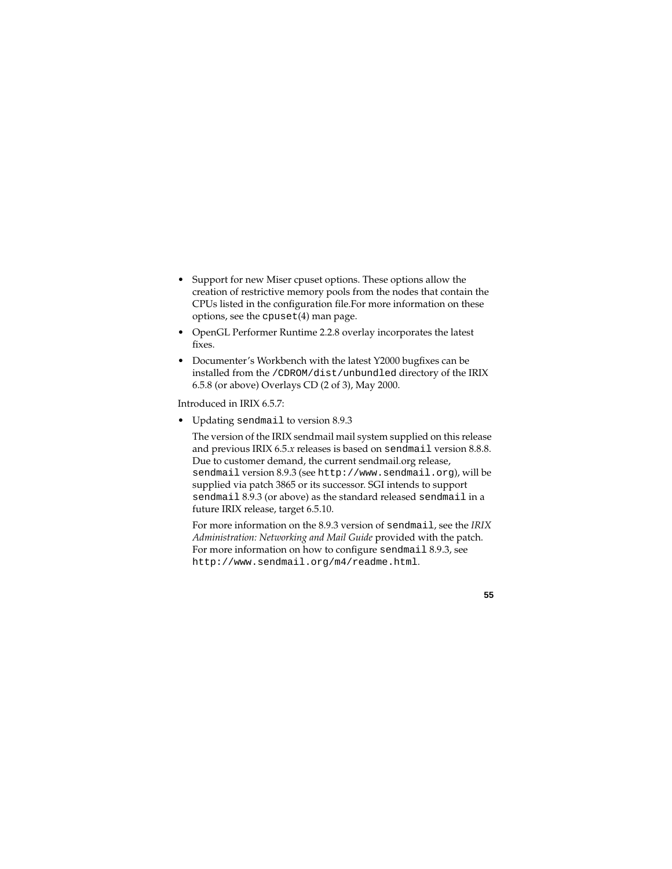- Support for new Miser cpuset options. These options allow the creation of restrictive memory pools from the nodes that contain the CPUs listed in the configuration file.For more information on these options, see the cpuset(4) man page.
- OpenGL Performer Runtime 2.2.8 overlay incorporates the latest fixes.
- Documenter's Workbench with the latest Y2000 bugfixes can be installed from the /CDROM/dist/unbundled directory of the IRIX 6.5.8 (or above) Overlays CD (2 of 3), May 2000.

Introduced in IRIX 6.5.7:

• Updating sendmail to version 8.9.3

The version of the IRIX sendmail mail system supplied on this release and previous IRIX 6.5.*x* releases is based on sendmail version 8.8.8. Due to customer demand, the current sendmail.org release, sendmail version 8.9.3 (see http://www.sendmail.org), will be supplied via patch 3865 or its successor. SGI intends to support sendmail 8.9.3 (or above) as the standard released sendmail in a future IRIX release, target 6.5.10.

For more information on the 8.9.3 version of sendmail, see the *IRIX Administration: Networking and Mail Guide* provided with the patch. For more information on how to configure sendmail 8.9.3, see http://www.sendmail.org/m4/readme.html.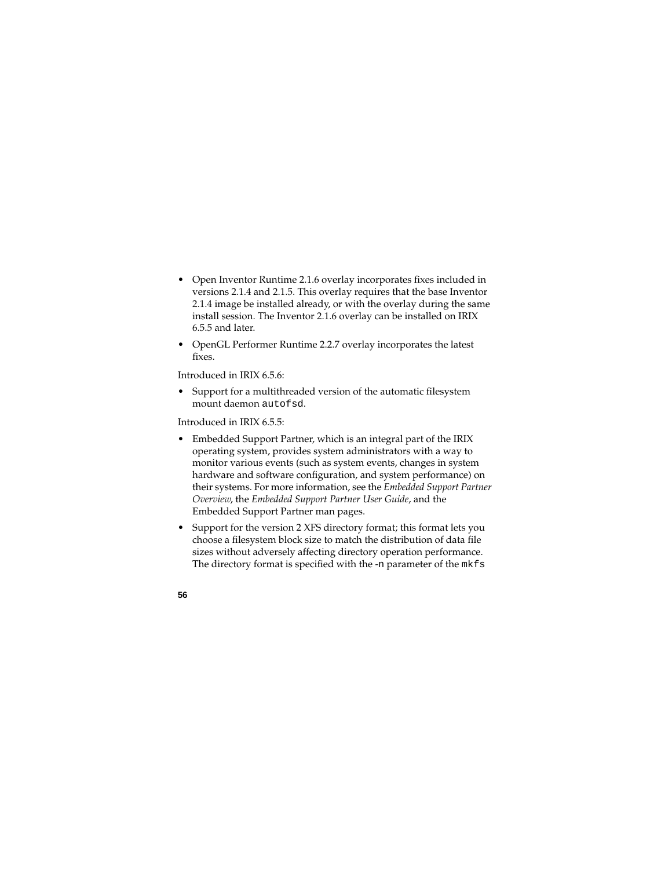- Open Inventor Runtime 2.1.6 overlay incorporates fixes included in versions 2.1.4 and 2.1.5. This overlay requires that the base Inventor 2.1.4 image be installed already, or with the overlay during the same install session. The Inventor 2.1.6 overlay can be installed on IRIX 6.5.5 and later.
- OpenGL Performer Runtime 2.2.7 overlay incorporates the latest fixes.

Introduced in IRIX 6.5.6:

• Support for a multithreaded version of the automatic filesystem mount daemon autofsd.

Introduced in IRIX 6.5.5:

- Embedded Support Partner, which is an integral part of the IRIX operating system, provides system administrators with a way to monitor various events (such as system events, changes in system hardware and software configuration, and system performance) on their systems. For more information, see the *Embedded Support Partner Overview*, the *Embedded Support Partner User Guide*, and the Embedded Support Partner man pages.
- Support for the version 2 XFS directory format; this format lets you choose a filesystem block size to match the distribution of data file sizes without adversely affecting directory operation performance. The directory format is specified with the -n parameter of the mkfs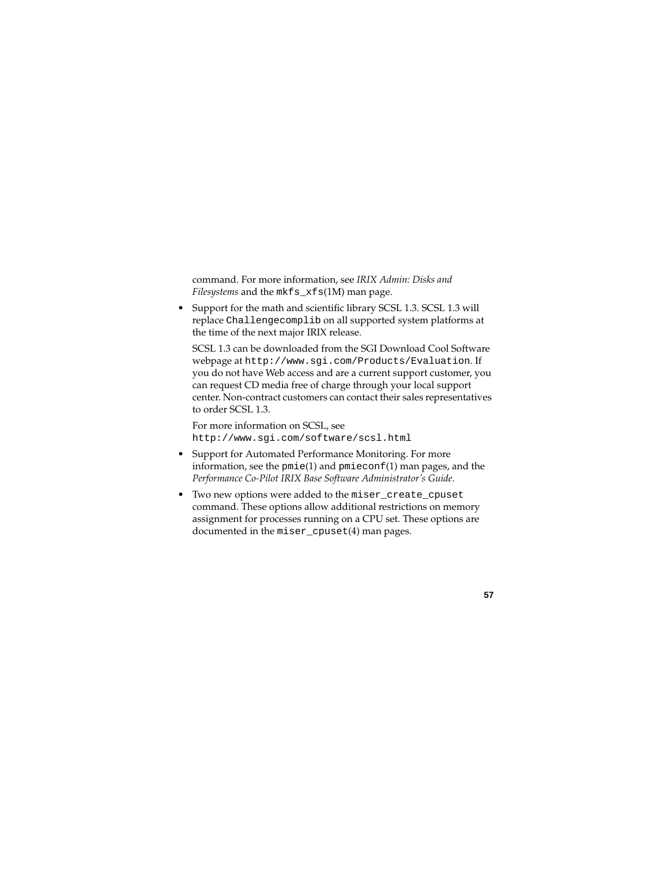command. For more information, see *IRIX Admin: Disks and Filesystems* and the mkfs\_xfs(1M) man page.

• Support for the math and scientific library SCSL 1.3. SCSL 1.3 will replace Challengecomplib on all supported system platforms at the time of the next major IRIX release.

SCSL 1.3 can be downloaded from the SGI Download Cool Software webpage at http://www.sgi.com/Products/Evaluation. If you do not have Web access and are a current support customer, you can request CD media free of charge through your local support center. Non-contract customers can contact their sales representatives to order SCSL 1.3.

For more information on SCSL, see http://www.sgi.com/software/scsl.html

- Support for Automated Performance Monitoring. For more information, see the  $pmi$ e(1) and  $pmi$ econf(1) man pages, and the *Performance Co-Pilot IRIX Base Software Administrator's Guide*.
- Two new options were added to the miser\_create\_cpuset command. These options allow additional restrictions on memory assignment for processes running on a CPU set. These options are documented in the miser\_cpuset(4) man pages.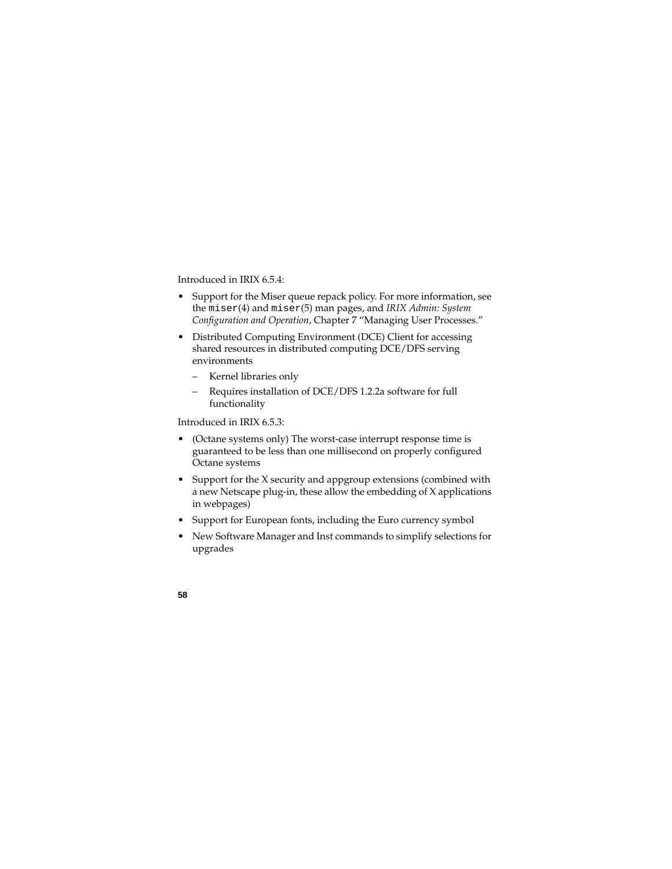Introduced in IRIX 6.5.4:

- Support for the Miser queue repack policy. For more information, see the miser(4) and miser(5) man pages, and *IRIX Admin: System Configuration and Operation*, Chapter 7 "Managing User Processes."
- Distributed Computing Environment (DCE) Client for accessing shared resources in distributed computing DCE/DFS serving environments
	- Kernel libraries only
	- Requires installation of DCE/DFS 1.2.2a software for full functionality

Introduced in IRIX 6.5.3:

- (Octane systems only) The worst-case interrupt response time is guaranteed to be less than one millisecond on properly configured Octane systems
- Support for the X security and appgroup extensions (combined with a new Netscape plug-in, these allow the embedding of X applications in webpages)
- Support for European fonts, including the Euro currency symbol
- New Software Manager and Inst commands to simplify selections for upgrades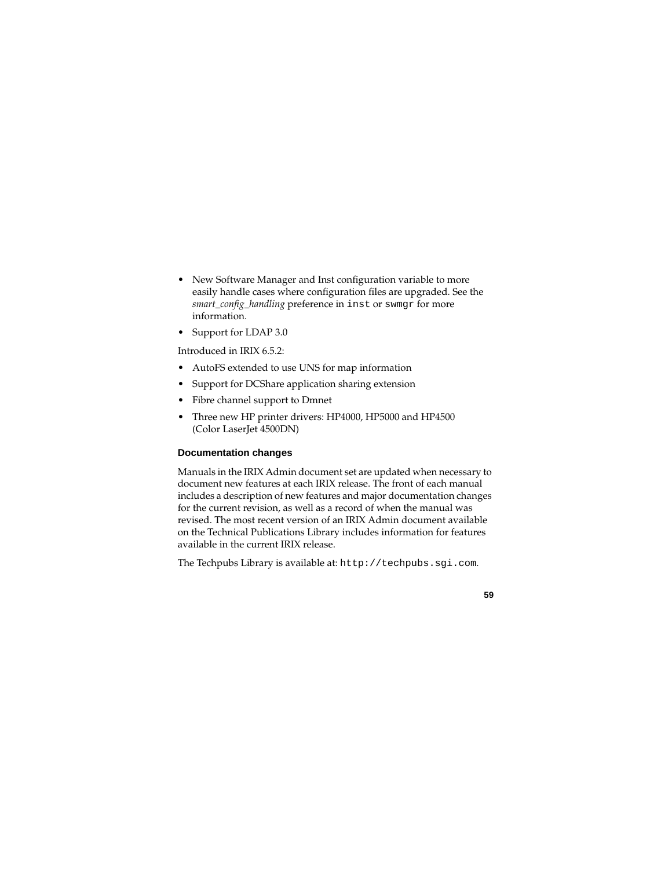- New Software Manager and Inst configuration variable to more easily handle cases where configuration files are upgraded. See the *smart\_config\_handling* preference in inst or swmgr for more information.
- Support for LDAP 3.0

Introduced in IRIX 6.5.2:

- AutoFS extended to use UNS for map information
- Support for DCShare application sharing extension
- Fibre channel support to Dmnet
- Three new HP printer drivers: HP4000, HP5000 and HP4500 (Color LaserJet 4500DN)

### **Documentation changes**

Manuals in the IRIX Admin document set are updated when necessary to document new features at each IRIX release. The front of each manual includes a description of new features and major documentation changes for the current revision, as well as a record of when the manual was revised. The most recent version of an IRIX Admin document available on the Technical Publications Library includes information for features available in the current IRIX release.

The Techpubs Library is available at: http://techpubs.sgi.com.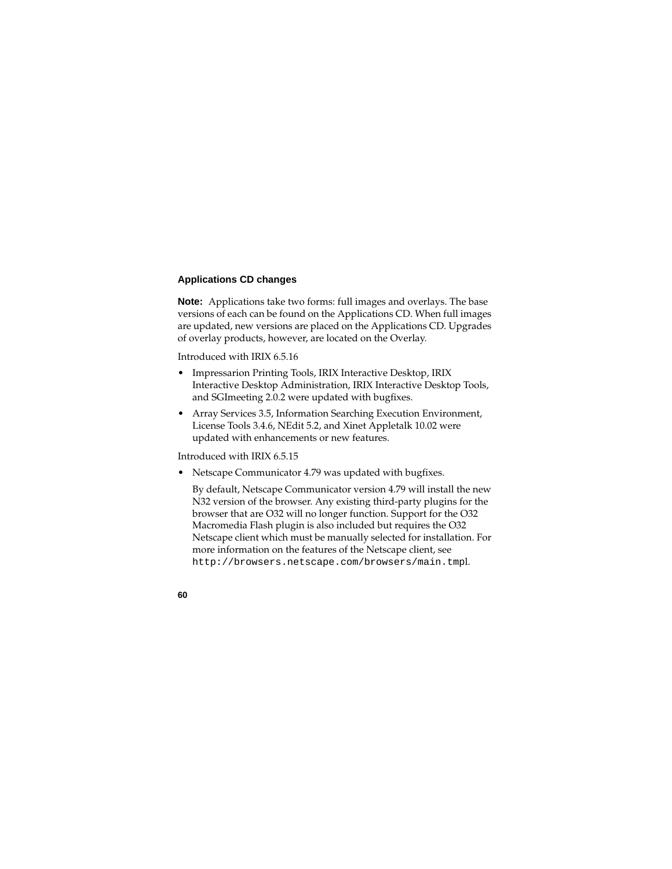## **Applications CD changes**

**Note:** Applications take two forms: full images and overlays. The base versions of each can be found on the Applications CD. When full images are updated, new versions are placed on the Applications CD. Upgrades of overlay products, however, are located on the Overlay.

Introduced with IRIX 6.5.16

- Impressarion Printing Tools, IRIX Interactive Desktop, IRIX Interactive Desktop Administration, IRIX Interactive Desktop Tools, and SGImeeting 2.0.2 were updated with bugfixes.
- Array Services 3.5, Information Searching Execution Environment, License Tools 3.4.6, NEdit 5.2, and Xinet Appletalk 10.02 were updated with enhancements or new features.

Introduced with IRIX 6.5.15

• Netscape Communicator 4.79 was updated with bugfixes.

By default, Netscape Communicator version 4.79 will install the new N32 version of the browser. Any existing third-party plugins for the browser that are O32 will no longer function. Support for the O32 Macromedia Flash plugin is also included but requires the O32 Netscape client which must be manually selected for installation. For more information on the features of the Netscape client, see http://browsers.netscape.com/browsers/main.tmpl.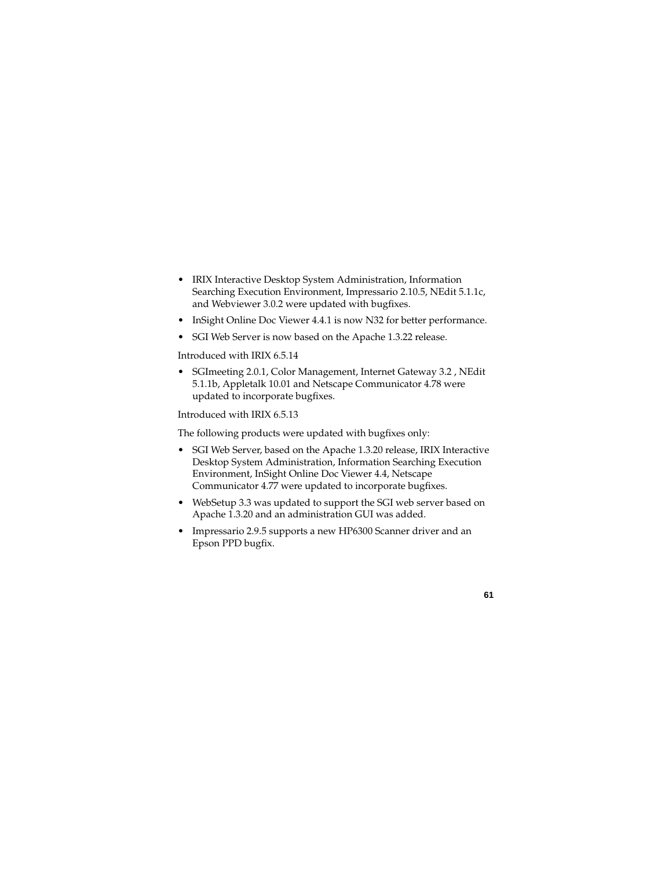- IRIX Interactive Desktop System Administration, Information Searching Execution Environment, Impressario 2.10.5, NEdit 5.1.1c, and Webviewer 3.0.2 were updated with bugfixes.
- InSight Online Doc Viewer 4.4.1 is now N32 for better performance.
- SGI Web Server is now based on the Apache 1.3.22 release.

Introduced with IRIX 6.5.14

• SGImeeting 2.0.1, Color Management, Internet Gateway 3.2 , NEdit 5.1.1b, Appletalk 10.01 and Netscape Communicator 4.78 were updated to incorporate bugfixes.

Introduced with IRIX 6.5.13

The following products were updated with bugfixes only:

- SGI Web Server, based on the Apache 1.3.20 release, IRIX Interactive Desktop System Administration, Information Searching Execution Environment, InSight Online Doc Viewer 4.4, Netscape Communicator 4.77 were updated to incorporate bugfixes.
- WebSetup 3.3 was updated to support the SGI web server based on Apache 1.3.20 and an administration GUI was added.
- Impressario 2.9.5 supports a new HP6300 Scanner driver and an Epson PPD bugfix.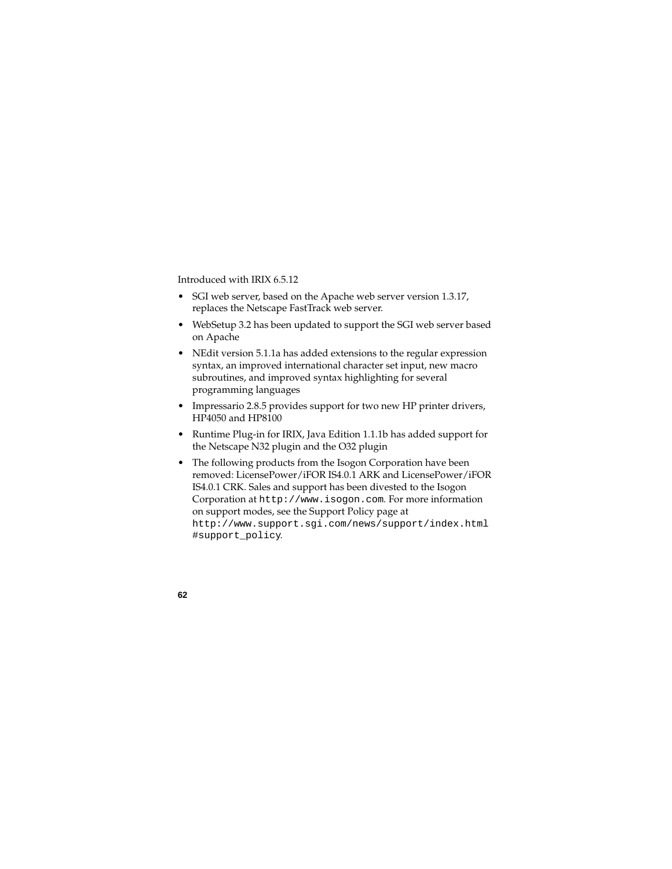Introduced with IRIX 6.5.12

- SGI web server, based on the Apache web server version 1.3.17, replaces the Netscape FastTrack web server.
- WebSetup 3.2 has been updated to support the SGI web server based on Apache
- NEdit version 5.1.1a has added extensions to the regular expression syntax, an improved international character set input, new macro subroutines, and improved syntax highlighting for several programming languages
- Impressario 2.8.5 provides support for two new HP printer drivers, HP4050 and HP8100
- Runtime Plug-in for IRIX, Java Edition 1.1.1b has added support for the Netscape N32 plugin and the O32 plugin
- The following products from the Isogon Corporation have been removed: LicensePower/iFOR IS4.0.1 ARK and LicensePower/iFOR IS4.0.1 CRK. Sales and support has been divested to the Isogon Corporation at http://www.isogon.com. For more information on support modes, see the Support Policy page at http://www.support.sgi.com/news/support/index.html #support\_policy.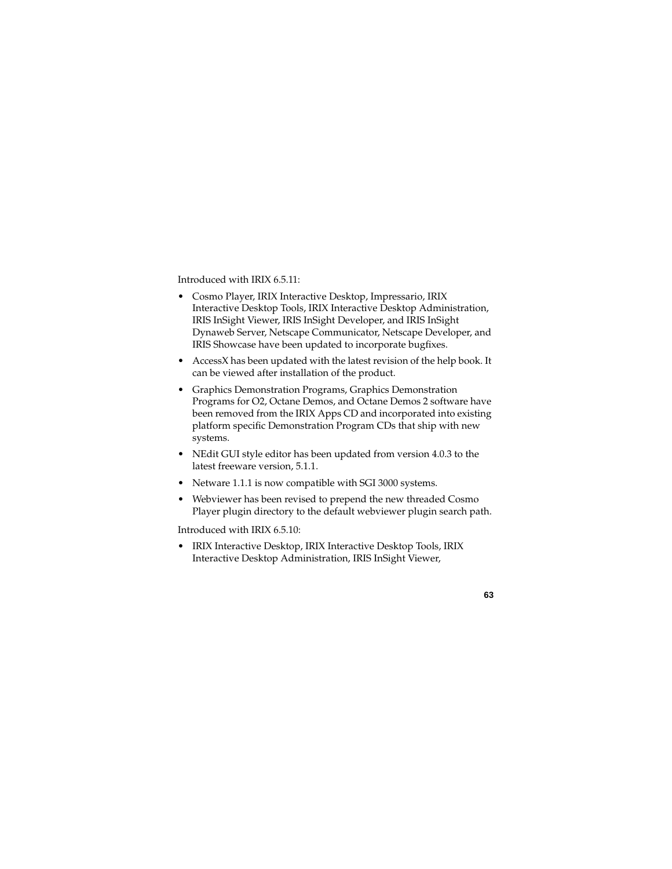Introduced with IRIX 6.5.11:

- Cosmo Player, IRIX Interactive Desktop, Impressario, IRIX Interactive Desktop Tools, IRIX Interactive Desktop Administration, IRIS InSight Viewer, IRIS InSight Developer, and IRIS InSight Dynaweb Server, Netscape Communicator, Netscape Developer, and IRIS Showcase have been updated to incorporate bugfixes.
- AccessX has been updated with the latest revision of the help book. It can be viewed after installation of the product.
- Graphics Demonstration Programs, Graphics Demonstration Programs for O2, Octane Demos, and Octane Demos 2 software have been removed from the IRIX Apps CD and incorporated into existing platform specific Demonstration Program CDs that ship with new systems.
- NEdit GUI style editor has been updated from version 4.0.3 to the latest freeware version, 5.1.1.
- Netware 1.1.1 is now compatible with SGI 3000 systems.
- Webviewer has been revised to prepend the new threaded Cosmo Player plugin directory to the default webviewer plugin search path.

Introduced with IRIX 6.5.10:

• IRIX Interactive Desktop, IRIX Interactive Desktop Tools, IRIX Interactive Desktop Administration, IRIS InSight Viewer,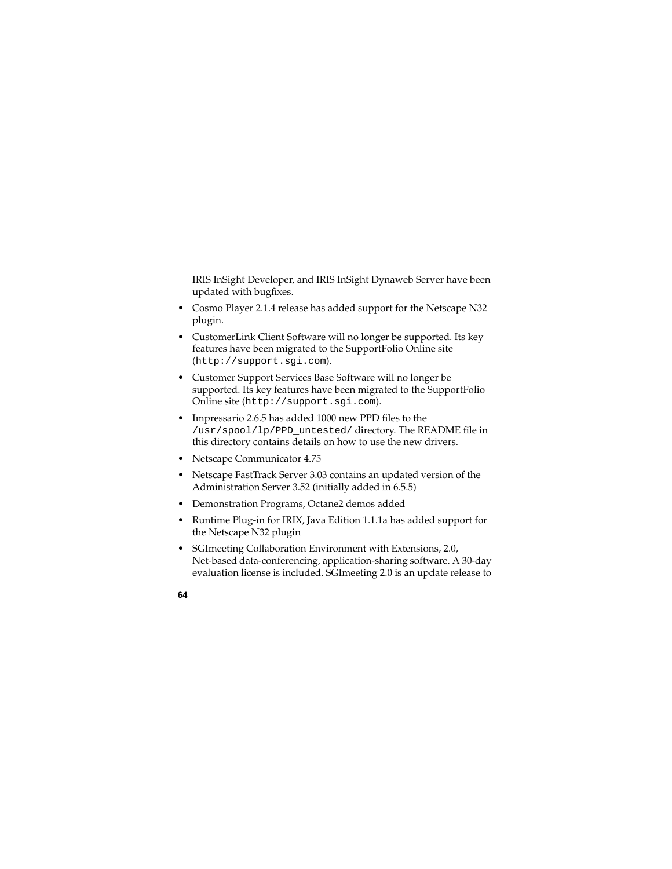IRIS InSight Developer, and IRIS InSight Dynaweb Server have been updated with bugfixes.

- Cosmo Player 2.1.4 release has added support for the Netscape N32 plugin.
- CustomerLink Client Software will no longer be supported. Its key features have been migrated to the SupportFolio Online site (http://support.sgi.com).
- Customer Support Services Base Software will no longer be supported. Its key features have been migrated to the SupportFolio Online site (http://support.sgi.com).
- Impressario 2.6.5 has added 1000 new PPD files to the /usr/spool/lp/PPD\_untested/ directory. The README file in this directory contains details on how to use the new drivers.
- Netscape Communicator 4.75
- Netscape FastTrack Server 3.03 contains an updated version of the Administration Server 3.52 (initially added in 6.5.5)
- Demonstration Programs, Octane2 demos added
- Runtime Plug-in for IRIX, Java Edition 1.1.1a has added support for the Netscape N32 plugin
- SGImeeting Collaboration Environment with Extensions, 2.0, Net-based data-conferencing, application-sharing software. A 30-day evaluation license is included. SGImeeting 2.0 is an update release to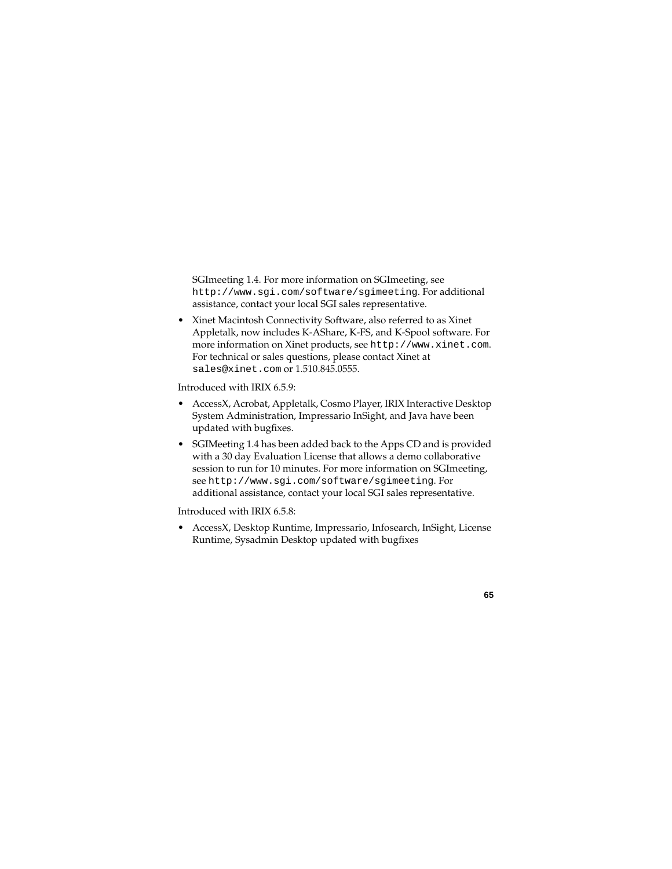SGImeeting 1.4. For more information on SGImeeting, see http://www.sgi.com/software/sgimeeting. For additional assistance, contact your local SGI sales representative.

• Xinet Macintosh Connectivity Software, also referred to as Xinet Appletalk, now includes K-AShare, K-FS, and K-Spool software. For more information on Xinet products, see http://www.xinet.com. For technical or sales questions, please contact Xinet at sales@xinet.com or 1.510.845.0555.

Introduced with IRIX 6.5.9:

- AccessX, Acrobat, Appletalk, Cosmo Player, IRIX Interactive Desktop System Administration, Impressario InSight, and Java have been updated with bugfixes.
- SGIMeeting 1.4 has been added back to the Apps CD and is provided with a 30 day Evaluation License that allows a demo collaborative session to run for 10 minutes. For more information on SGImeeting, see http://www.sgi.com/software/sgimeeting. For additional assistance, contact your local SGI sales representative.

Introduced with IRIX 6.5.8:

• AccessX, Desktop Runtime, Impressario, Infosearch, InSight, License Runtime, Sysadmin Desktop updated with bugfixes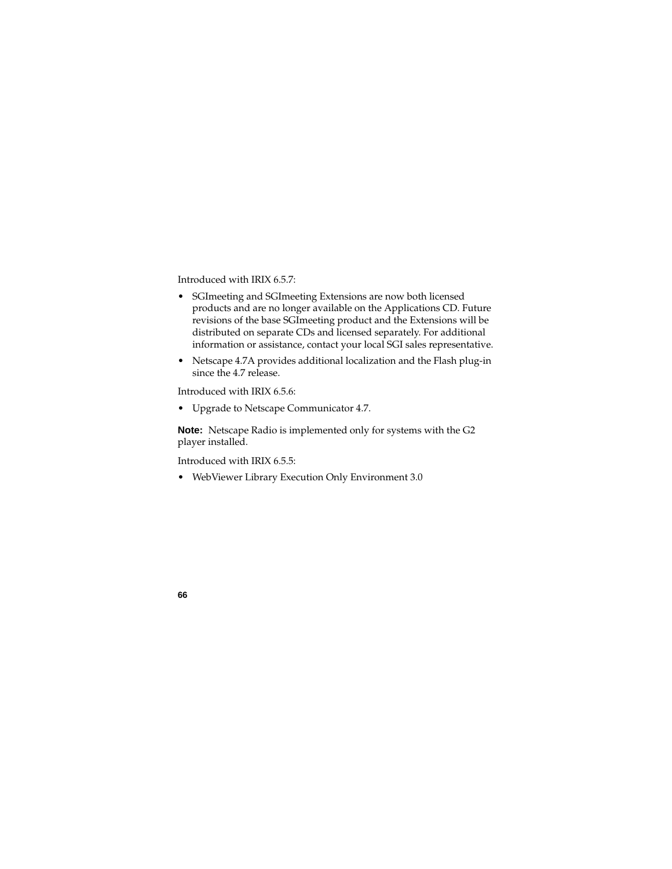Introduced with IRIX 6.5.7:

- SGImeeting and SGImeeting Extensions are now both licensed products and are no longer available on the Applications CD. Future revisions of the base SGImeeting product and the Extensions will be distributed on separate CDs and licensed separately. For additional information or assistance, contact your local SGI sales representative.
- Netscape 4.7A provides additional localization and the Flash plug-in since the 4.7 release.

Introduced with IRIX 6.5.6:

• Upgrade to Netscape Communicator 4.7.

**Note:** Netscape Radio is implemented only for systems with the G2 player installed.

Introduced with IRIX 6.5.5:

• WebViewer Library Execution Only Environment 3.0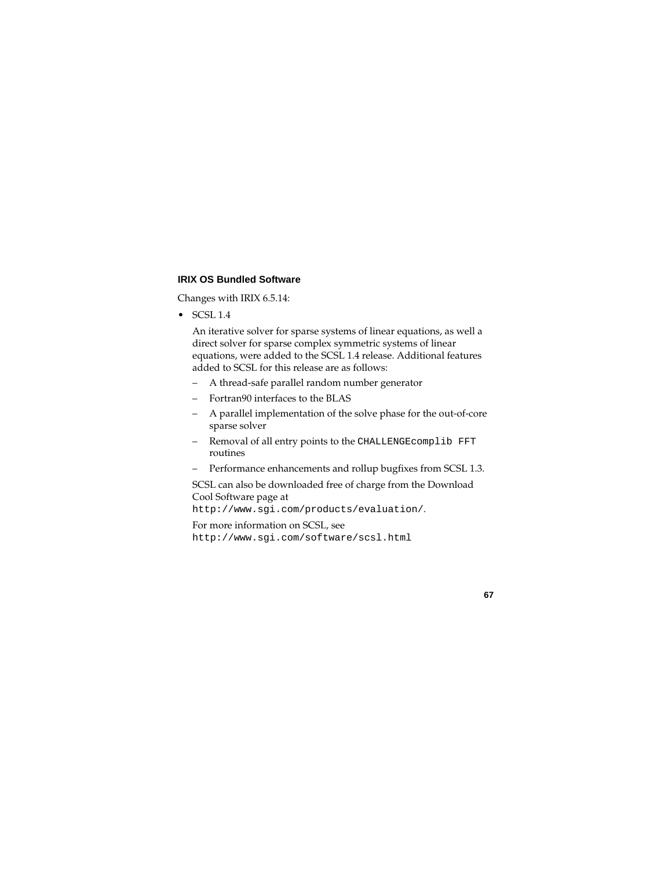## **IRIX OS Bundled Software**

Changes with IRIX 6.5.14:

 $\bullet$  SCSL 1.4

An iterative solver for sparse systems of linear equations, as well a direct solver for sparse complex symmetric systems of linear equations, were added to the SCSL 1.4 release. Additional features added to SCSL for this release are as follows:

- A thread-safe parallel random number generator
- Fortran90 interfaces to the BLAS
- A parallel implementation of the solve phase for the out-of-core sparse solver
- Removal of all entry points to the CHALLENGEcomplib FFT routines
- Performance enhancements and rollup bugfixes from SCSL 1.3.

SCSL can also be downloaded free of charge from the Download Cool Software page at

```
http://www.sgi.com/products/evaluation/.
```
For more information on SCSL, see http://www.sgi.com/software/scsl.html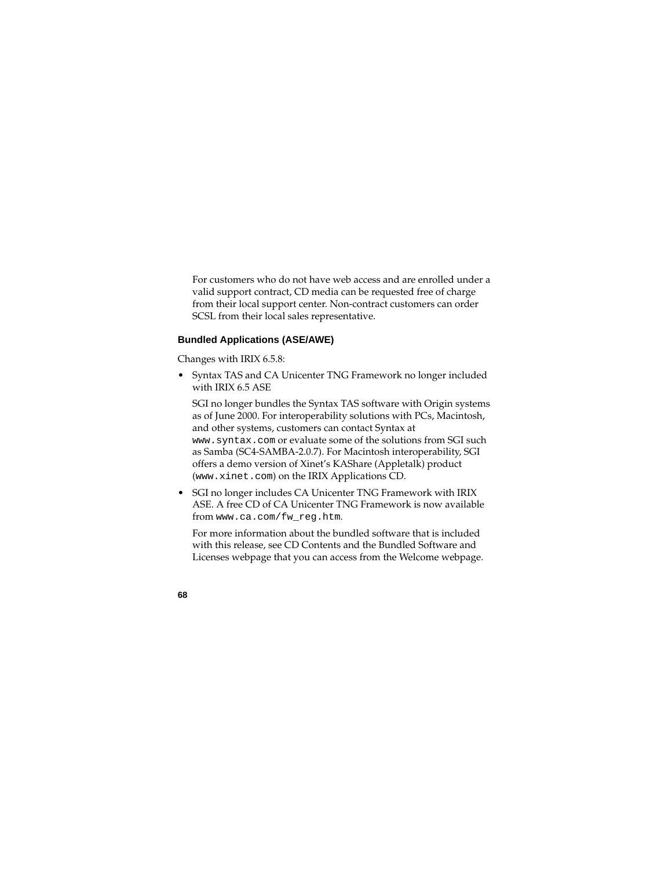For customers who do not have web access and are enrolled under a valid support contract, CD media can be requested free of charge from their local support center. Non-contract customers can order SCSL from their local sales representative.

# **Bundled Applications (ASE/AWE)**

Changes with IRIX 6.5.8:

• Syntax TAS and CA Unicenter TNG Framework no longer included with IRIX 6.5 ASE

SGI no longer bundles the Syntax TAS software with Origin systems as of June 2000. For interoperability solutions with PCs, Macintosh, and other systems, customers can contact Syntax at www.syntax.com or evaluate some of the solutions from SGI such as Samba (SC4-SAMBA-2.0.7). For Macintosh interoperability, SGI offers a demo version of Xinet's KAShare (Appletalk) product (www.xinet.com) on the IRIX Applications CD.

• SGI no longer includes CA Unicenter TNG Framework with IRIX ASE. A free CD of CA Unicenter TNG Framework is now available from www.ca.com/fw\_reg.htm.

For more information about the bundled software that is included with this release, see CD Contents and the Bundled Software and Licenses webpage that you can access from the Welcome webpage.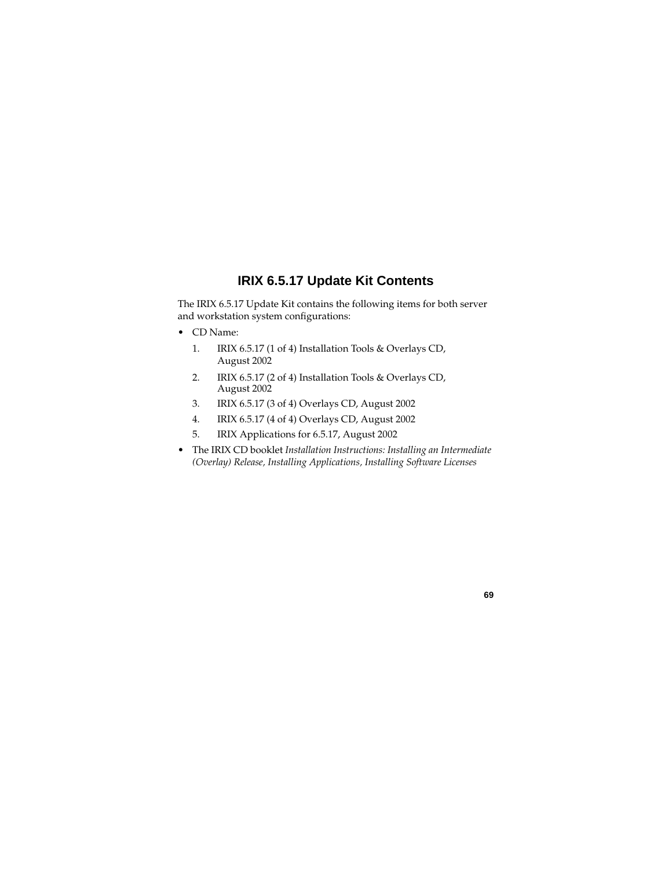# **IRIX 6.5.17 Update Kit Contents**

The IRIX 6.5.17 Update Kit contains the following items for both server and workstation system configurations:

- CD Name:
	- 1. IRIX 6.5.17 (1 of 4) Installation Tools & Overlays CD, August 2002
	- 2. IRIX 6.5.17 (2 of 4) Installation Tools & Overlays CD, August 2002
	- 3. IRIX 6.5.17 (3 of 4) Overlays CD, August 2002
	- 4. IRIX 6.5.17 (4 of 4) Overlays CD, August 2002
	- 5. IRIX Applications for 6.5.17, August 2002
- The IRIX CD booklet *Installation Instructions: Installing an Intermediate (Overlay) Release, Installing Applications, Installing Software Licenses*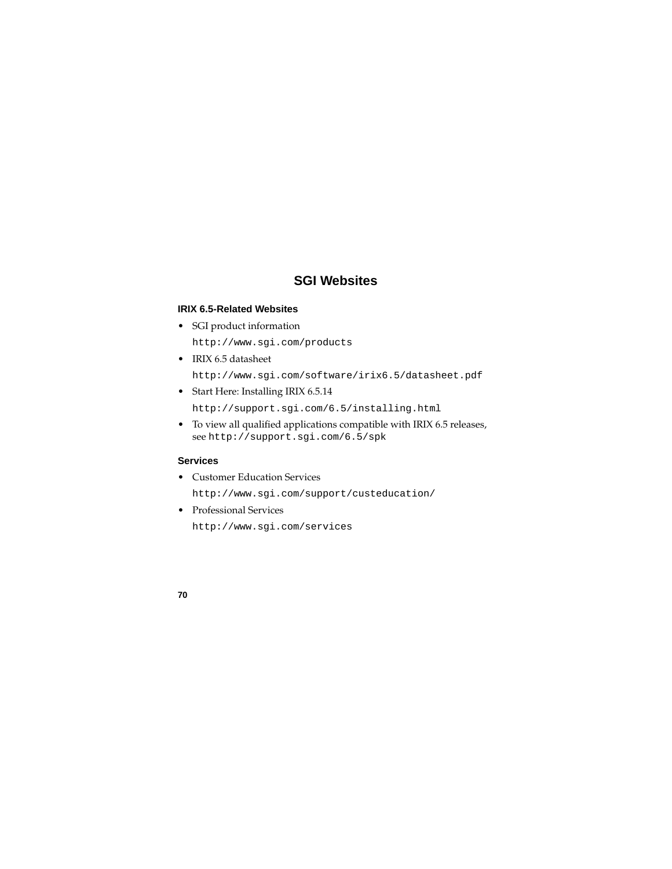# **SGI Websites**

### **IRIX 6.5-Related Websites**

• SGI product information

http://www.sgi.com/products

• IRIX 6.5 datasheet

http://www.sgi.com/software/irix6.5/datasheet.pdf

- Start Here: Installing IRIX 6.5.14 http://support.sgi.com/6.5/installing.html
- To view all qualified applications compatible with IRIX 6.5 releases, see http://support.sgi.com/6.5/spk

### **Services**

• Customer Education Services

http://www.sgi.com/support/custeducation/

• Professional Services

http://www.sgi.com/services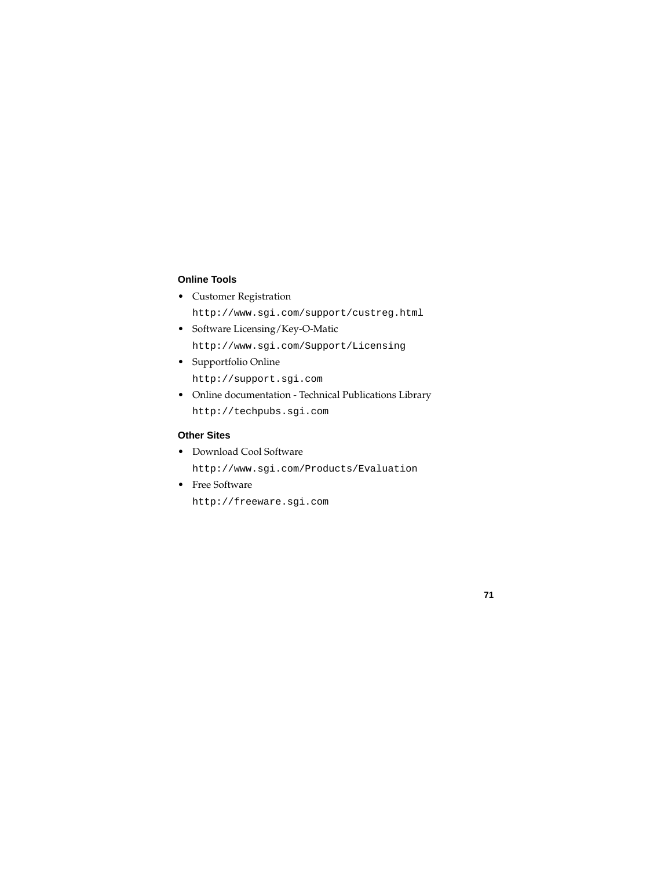## **Online Tools**

• Customer Registration

http://www.sgi.com/support/custreg.html

- Software Licensing/Key-O-Matic http://www.sgi.com/Support/Licensing
- Supportfolio Online http://support.sgi.com
- Online documentation Technical Publications Library http://techpubs.sgi.com

# **Other Sites**

- Download Cool Software http://www.sgi.com/Products/Evaluation
- Free Software

http://freeware.sgi.com